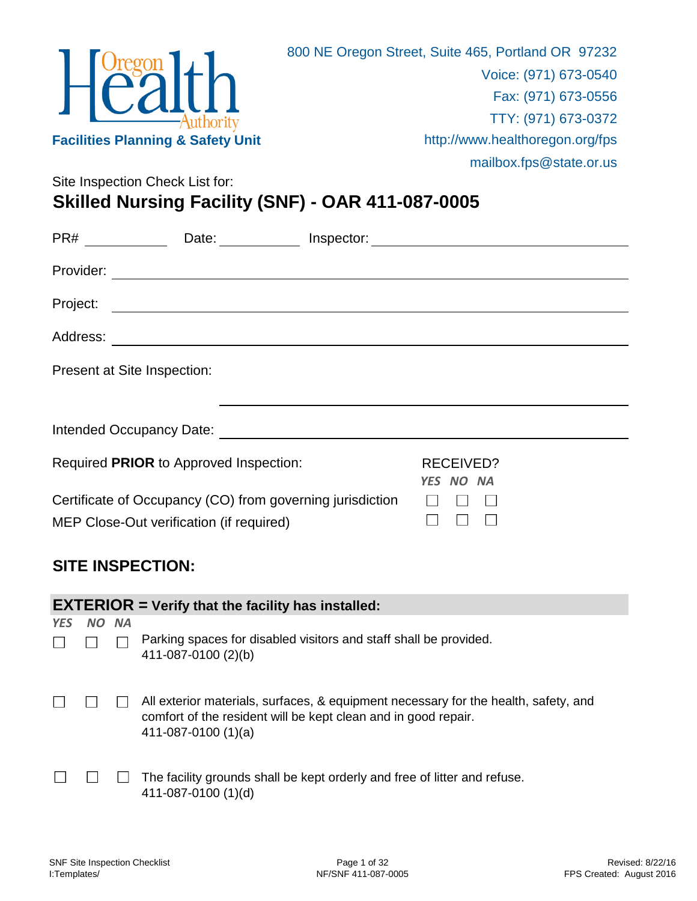

Site Inspection Check List for:

# **Skilled Nursing Facility (SNF) - OAR 411-087-0005**

| PR# ________ | Date:                                                                                                                                                                                                                               | Inspector: |                               |  |
|--------------|-------------------------------------------------------------------------------------------------------------------------------------------------------------------------------------------------------------------------------------|------------|-------------------------------|--|
| Provider:    | <u> 1980 - Andrea Andrew Maria (h. 1980).</u>                                                                                                                                                                                       |            |                               |  |
| Project:     | <u> 1989 - Andrea Andrew Maria (h. 1989).</u>                                                                                                                                                                                       |            |                               |  |
| Address:     | <u> 1989 - Johann Barnett, fransk politiker (d. 1989)</u>                                                                                                                                                                           |            |                               |  |
|              | Present at Site Inspection:                                                                                                                                                                                                         |            |                               |  |
|              | Intended Occupancy Date: <b>All and Security Contracts</b> and the second second second second second second second second second second second second second second second second second second second second second second second |            |                               |  |
|              | Required PRIOR to Approved Inspection:                                                                                                                                                                                              |            | <b>RECEIVED?</b><br>YES NO NA |  |
|              | Certificate of Occupancy (CO) from governing jurisdiction<br>MEP Close-Out verification (if required)                                                                                                                               |            |                               |  |

### **SITE INSPECTION:**

|            | <b>EXTERIOR</b> = Verify that the facility has installed: |           |                                                                                                                                                                               |  |  |
|------------|-----------------------------------------------------------|-----------|-------------------------------------------------------------------------------------------------------------------------------------------------------------------------------|--|--|
| <b>YES</b> | NO                                                        | <b>NA</b> |                                                                                                                                                                               |  |  |
|            |                                                           |           | Parking spaces for disabled visitors and staff shall be provided.<br>411-087-0100 (2)(b)                                                                                      |  |  |
|            |                                                           |           | All exterior materials, surfaces, & equipment necessary for the health, safety, and<br>comfort of the resident will be kept clean and in good repair.<br>$411-087-0100(1)(a)$ |  |  |
|            |                                                           |           | The facility grounds shall be kept orderly and free of litter and refuse.<br>411-087-0100 (1)(d)                                                                              |  |  |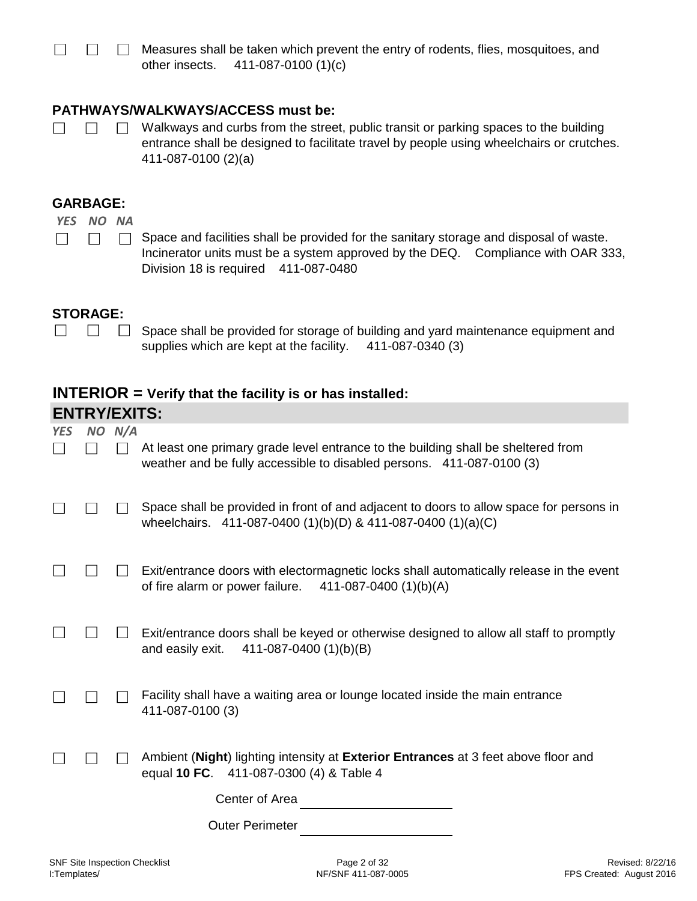$\Box$ Measures shall be taken which prevent the entry of rodents, flies, mosquitoes, and other insects. 411-087-0100 (1)(c)

#### **PATHWAYS/WALKWAYS/ACCESS must be:**

 $\Box$  $\Box$ 

 $\Box$ 

Walkways and curbs from the street, public transit or parking spaces to the building  $\Box$ entrance shall be designed to facilitate travel by people using wheelchairs or crutches. 411-087-0100 (2)(a)

#### **GARBAGE:**

*YES NO NA*

Space and facilities shall be provided for the sanitary storage and disposal of waste.  $\overline{\phantom{a}}$  $\Box$ Incinerator units must be a system approved by the DEQ. Compliance with OAR 333, Division 18 is required 411-087-0480

#### **STORAGE:**

 $\Box$   $\Box$   $\Box$ Space shall be provided for storage of building and yard maintenance equipment and supplies which are kept at the facility. 411-087-0340 (3)

#### **INTERIOR = Verify that the facility is or has installed:**

|            | <b>ENTRY/EXITS:</b> |            |                                                                                                                                                            |  |  |
|------------|---------------------|------------|------------------------------------------------------------------------------------------------------------------------------------------------------------|--|--|
| <b>YES</b> |                     | $NO$ $N/A$ |                                                                                                                                                            |  |  |
|            |                     |            | At least one primary grade level entrance to the building shall be sheltered from<br>weather and be fully accessible to disabled persons. 411-087-0100 (3) |  |  |
|            |                     |            | Space shall be provided in front of and adjacent to doors to allow space for persons in<br>wheelchairs. 411-087-0400 (1)(b)(D) & 411-087-0400 (1)(a)(C)    |  |  |
|            |                     |            | Exit/entrance doors with electormagnetic locks shall automatically release in the event<br>of fire alarm or power failure.<br>411-087-0400 (1)(b)(A)       |  |  |
|            |                     |            | Exit/entrance doors shall be keyed or otherwise designed to allow all staff to promptly<br>and easily exit.<br>411-087-0400 (1)(b)(B)                      |  |  |
|            |                     |            | Facility shall have a waiting area or lounge located inside the main entrance<br>411-087-0100 (3)                                                          |  |  |
|            |                     |            | Ambient (Night) lighting intensity at Exterior Entrances at 3 feet above floor and<br>equal 10 FC. 411-087-0300 (4) & Table 4                              |  |  |
|            |                     |            | Center of Area                                                                                                                                             |  |  |
|            |                     |            | <b>Outer Perimeter</b>                                                                                                                                     |  |  |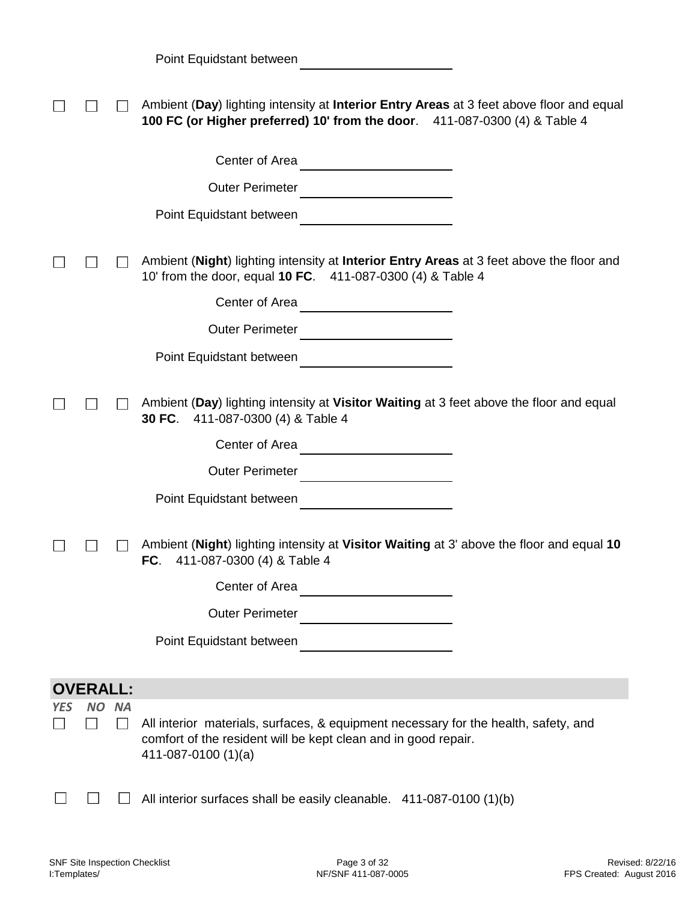|  | Point Equidstant between |  |
|--|--------------------------|--|
|--|--------------------------|--|

|     |                       |           | Ambient (Day) lighting intensity at Interior Entry Areas at 3 feet above floor and equal<br>100 FC (or Higher preferred) 10' from the door. 411-087-0300 (4) & Table 4                                                                                           |
|-----|-----------------------|-----------|------------------------------------------------------------------------------------------------------------------------------------------------------------------------------------------------------------------------------------------------------------------|
|     |                       |           | Center of Area                                                                                                                                                                                                                                                   |
|     |                       |           | <b>Outer Perimeter</b>                                                                                                                                                                                                                                           |
|     |                       |           | Point Equidstant between                                                                                                                                                                                                                                         |
|     |                       |           | Ambient (Night) lighting intensity at Interior Entry Areas at 3 feet above the floor and<br>10' from the door, equal <b>10 FC.</b> 411-087-0300 (4) & Table 4                                                                                                    |
|     |                       |           | Center of Area                                                                                                                                                                                                                                                   |
|     |                       |           | Outer Perimeter                                                                                                                                                                                                                                                  |
|     |                       |           |                                                                                                                                                                                                                                                                  |
|     |                       |           | Ambient (Day) lighting intensity at Visitor Waiting at 3 feet above the floor and equal<br>411-087-0300 (4) & Table 4<br>30 FC.<br>Center of Area<br>Outer Perimeter<br><br><br><br><br><br><br><br><br><br><br><br><br><br><br><br><br><br><br><br><br><br><br> |
|     |                       |           | Point Equidstant between                                                                                                                                                                                                                                         |
|     |                       |           | Ambient (Night) lighting intensity at Visitor Waiting at 3' above the floor and equal 10<br>411-087-0300 (4) & Table 4<br>FC.                                                                                                                                    |
|     |                       |           | Center of Area                                                                                                                                                                                                                                                   |
|     |                       |           | <b>Outer Perimeter</b>                                                                                                                                                                                                                                           |
|     |                       |           | Point Equidstant between                                                                                                                                                                                                                                         |
|     |                       |           |                                                                                                                                                                                                                                                                  |
| YES | <b>OVERALL:</b><br>NΟ | <b>NA</b> |                                                                                                                                                                                                                                                                  |
|     |                       | $\sim$    | All interior materials, surfaces, & equipment necessary for the health, safety, and<br>comfort of the resident will be kept clean and in good repair.<br>411-087-0100 (1)(a)                                                                                     |
|     |                       |           | All interior surfaces shall be easily cleanable. 411-087-0100 (1)(b)                                                                                                                                                                                             |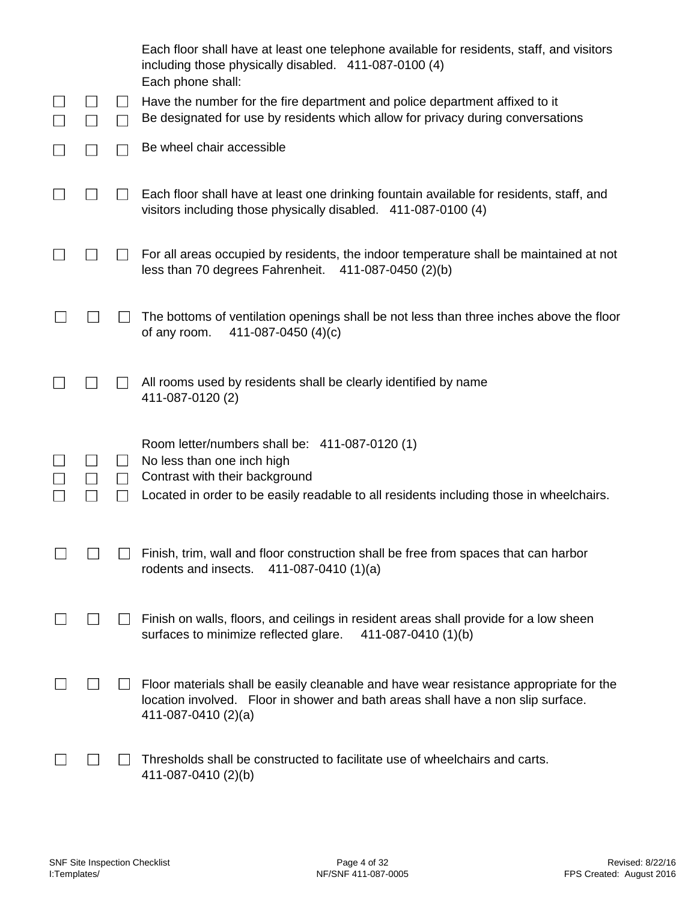|  |                              | Each floor shall have at least one telephone available for residents, staff, and visitors<br>including those physically disabled. 411-087-0100 (4)<br>Each phone shall:                           |
|--|------------------------------|---------------------------------------------------------------------------------------------------------------------------------------------------------------------------------------------------|
|  | $\mathsf{L}$<br>$\mathsf{L}$ | Have the number for the fire department and police department affixed to it<br>Be designated for use by residents which allow for privacy during conversations                                    |
|  |                              | Be wheel chair accessible                                                                                                                                                                         |
|  |                              | Each floor shall have at least one drinking fountain available for residents, staff, and<br>visitors including those physically disabled. 411-087-0100 (4)                                        |
|  |                              | For all areas occupied by residents, the indoor temperature shall be maintained at not<br>less than 70 degrees Fahrenheit.<br>411-087-0450 (2)(b)                                                 |
|  |                              | The bottoms of ventilation openings shall be not less than three inches above the floor<br>of any room.<br>411-087-0450 (4)(c)                                                                    |
|  |                              | All rooms used by residents shall be clearly identified by name<br>411-087-0120 (2)                                                                                                               |
|  | $\perp$                      | Room letter/numbers shall be: 411-087-0120 (1)<br>No less than one inch high                                                                                                                      |
|  | $\perp$<br>$\blacksquare$    | Contrast with their background<br>Located in order to be easily readable to all residents including those in wheelchairs.                                                                         |
|  |                              | Finish, trim, wall and floor construction shall be free from spaces that can harbor<br>rodents and insects.<br>411-087-0410 $(1)(a)$                                                              |
|  |                              | Finish on walls, floors, and ceilings in resident areas shall provide for a low sheen<br>surfaces to minimize reflected glare.<br>411-087-0410 (1)(b)                                             |
|  |                              | Floor materials shall be easily cleanable and have wear resistance appropriate for the<br>location involved. Floor in shower and bath areas shall have a non slip surface.<br>411-087-0410 (2)(a) |
|  |                              | Thresholds shall be constructed to facilitate use of wheelchairs and carts.<br>411-087-0410 (2)(b)                                                                                                |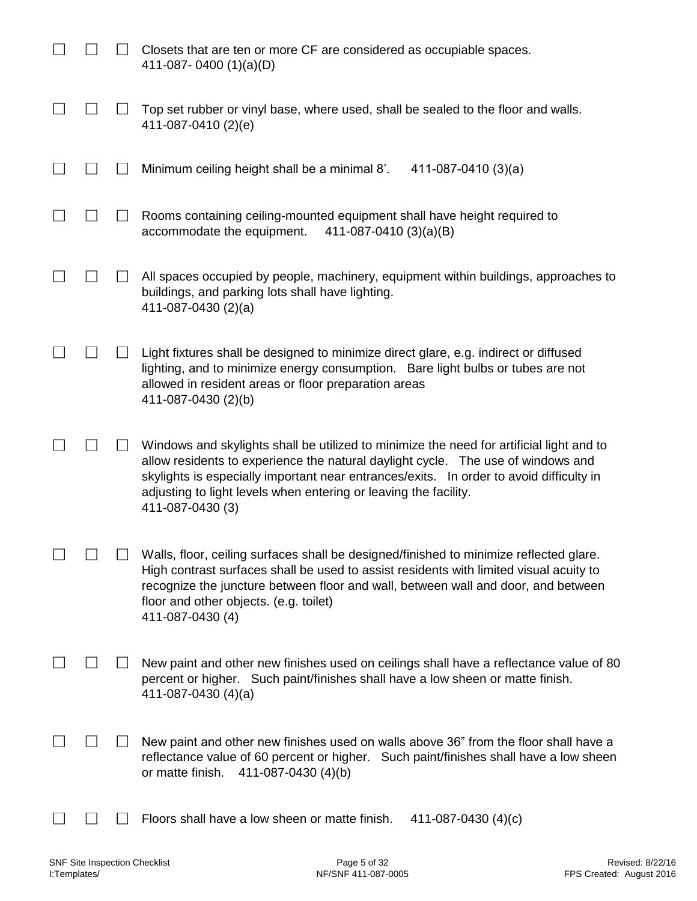|  | Closets that are ten or more CF are considered as occupiable spaces.<br>411-087-0400 $(1)(a)(D)$                                                                                                                                                                                                                                                                 |
|--|------------------------------------------------------------------------------------------------------------------------------------------------------------------------------------------------------------------------------------------------------------------------------------------------------------------------------------------------------------------|
|  | Top set rubber or vinyl base, where used, shall be sealed to the floor and walls.<br>411-087-0410 (2)(e)                                                                                                                                                                                                                                                         |
|  | Minimum ceiling height shall be a minimal 8'.<br>411-087-0410 (3)(a)                                                                                                                                                                                                                                                                                             |
|  | Rooms containing ceiling-mounted equipment shall have height required to<br>accommodate the equipment.<br>411-087-0410 (3)(a)(B)                                                                                                                                                                                                                                 |
|  | All spaces occupied by people, machinery, equipment within buildings, approaches to<br>buildings, and parking lots shall have lighting.<br>411-087-0430 (2)(a)                                                                                                                                                                                                   |
|  | Light fixtures shall be designed to minimize direct glare, e.g. indirect or diffused<br>lighting, and to minimize energy consumption. Bare light bulbs or tubes are not<br>allowed in resident areas or floor preparation areas<br>411-087-0430 (2)(b)                                                                                                           |
|  | Windows and skylights shall be utilized to minimize the need for artificial light and to<br>allow residents to experience the natural daylight cycle.  The use of windows and<br>skylights is especially important near entrances/exits. In order to avoid difficulty in<br>adjusting to light levels when entering or leaving the facility.<br>411-087-0430 (3) |
|  | Walls, floor, ceiling surfaces shall be designed/finished to minimize reflected glare.<br>High contrast surfaces shall be used to assist residents with limited visual acuity to<br>recognize the juncture between floor and wall, between wall and door, and between<br>floor and other objects. (e.g. toilet)<br>411-087-0430 (4)                              |
|  | New paint and other new finishes used on ceilings shall have a reflectance value of 80<br>percent or higher. Such paint/finishes shall have a low sheen or matte finish.<br>411-087-0430 (4)(a)                                                                                                                                                                  |
|  | New paint and other new finishes used on walls above 36" from the floor shall have a<br>reflectance value of 60 percent or higher. Such paint/finishes shall have a low sheen<br>or matte finish.<br>411-087-0430 (4)(b)                                                                                                                                         |
|  | Floors shall have a low sheen or matte finish.<br>411-087-0430 $(4)(c)$                                                                                                                                                                                                                                                                                          |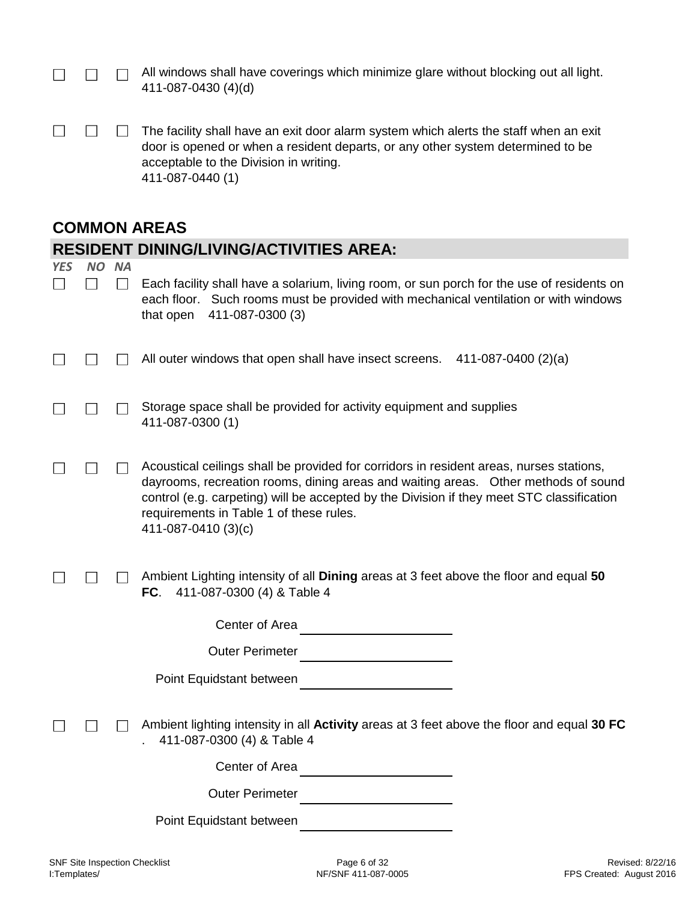|  | $\Box$ All windows shall have coverings which minimize glare without blocking out all light. |
|--|----------------------------------------------------------------------------------------------|
|  | 411-087-0430 (4)(d)                                                                          |

 $\begin{array}{ccc} & \text{ } & \text{ } & \text{ } \\ \text{ } & \text{ } & \text{ } & \text{ } \\ \end{array}$  $\Box$ The facility shall have an exit door alarm system which alerts the staff when an exit door is opened or when a resident departs, or any other system determined to be acceptable to the Division in writing. 411-087-0440 (1)

### **COMMON AREAS**

| <b>RESIDENT DINING/LIVING/ACTIVITIES AREA:</b> |                  |                                                                                                                                                                                                                                                                                                                                               |  |  |
|------------------------------------------------|------------------|-----------------------------------------------------------------------------------------------------------------------------------------------------------------------------------------------------------------------------------------------------------------------------------------------------------------------------------------------|--|--|
|                                                | NO NA<br>$\perp$ | Each facility shall have a solarium, living room, or sun porch for the use of residents on<br>each floor. Such rooms must be provided with mechanical ventilation or with windows<br>that open<br>411-087-0300 (3)                                                                                                                            |  |  |
|                                                |                  | All outer windows that open shall have insect screens. 411-087-0400 (2)(a)                                                                                                                                                                                                                                                                    |  |  |
|                                                |                  | Storage space shall be provided for activity equipment and supplies<br>411-087-0300 (1)                                                                                                                                                                                                                                                       |  |  |
|                                                |                  | Acoustical ceilings shall be provided for corridors in resident areas, nurses stations,<br>dayrooms, recreation rooms, dining areas and waiting areas.  Other methods of sound<br>control (e.g. carpeting) will be accepted by the Division if they meet STC classification<br>requirements in Table 1 of these rules.<br>411-087-0410 (3)(c) |  |  |
|                                                |                  | Ambient Lighting intensity of all Dining areas at 3 feet above the floor and equal 50<br>411-087-0300 (4) & Table 4<br>FC.                                                                                                                                                                                                                    |  |  |
|                                                |                  | Center of Area                                                                                                                                                                                                                                                                                                                                |  |  |
|                                                |                  | <b>Outer Perimeter</b>                                                                                                                                                                                                                                                                                                                        |  |  |
|                                                |                  | Point Equidstant between                                                                                                                                                                                                                                                                                                                      |  |  |
|                                                |                  | Ambient lighting intensity in all Activity areas at 3 feet above the floor and equal 30 FC<br>411-087-0300 (4) & Table 4                                                                                                                                                                                                                      |  |  |
|                                                |                  | Center of Area                                                                                                                                                                                                                                                                                                                                |  |  |
|                                                |                  | <b>Outer Perimeter</b>                                                                                                                                                                                                                                                                                                                        |  |  |
|                                                |                  | Point Equidstant between                                                                                                                                                                                                                                                                                                                      |  |  |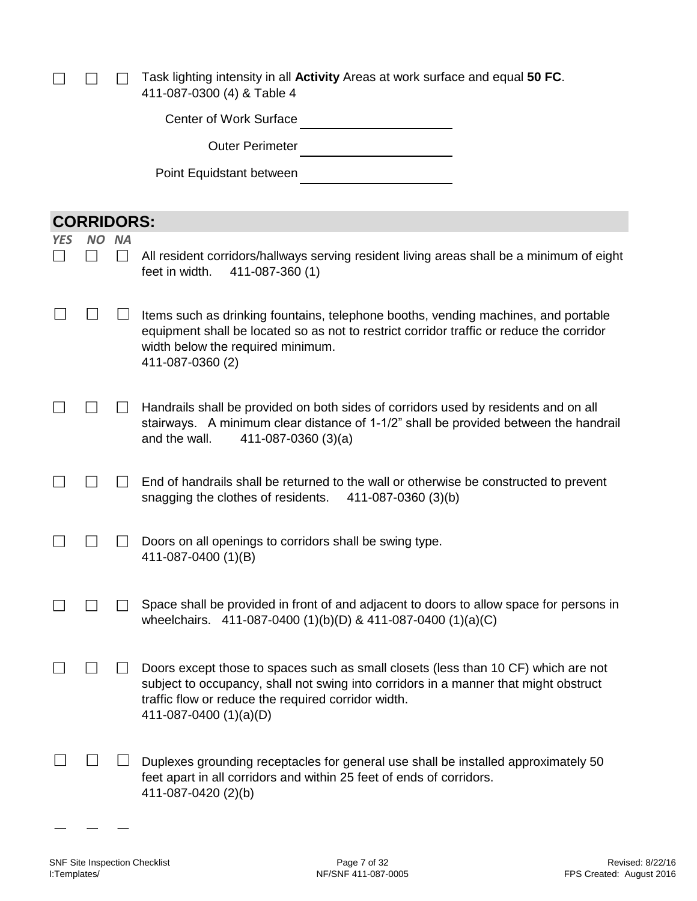$\Box$ Task lighting intensity in all **Activity** Areas at work surface and equal **50 FC**. 411-087-0300 (4) & Table 4

|     |                   |                            | <b>Center of Work Surface</b>                                                                                                                                                                                                                               |
|-----|-------------------|----------------------------|-------------------------------------------------------------------------------------------------------------------------------------------------------------------------------------------------------------------------------------------------------------|
|     |                   |                            | <b>Outer Perimeter</b>                                                                                                                                                                                                                                      |
|     |                   |                            | Point Equidstant between                                                                                                                                                                                                                                    |
|     |                   |                            |                                                                                                                                                                                                                                                             |
|     | <b>CORRIDORS:</b> |                            |                                                                                                                                                                                                                                                             |
| YES | NO.               | <b>NA</b><br>$\mathcal{L}$ | All resident corridors/hallways serving resident living areas shall be a minimum of eight<br>feet in width.<br>411-087-360 (1)                                                                                                                              |
|     |                   |                            | Items such as drinking fountains, telephone booths, vending machines, and portable<br>equipment shall be located so as not to restrict corridor traffic or reduce the corridor<br>width below the required minimum.<br>411-087-0360 (2)                     |
|     |                   |                            | Handrails shall be provided on both sides of corridors used by residents and on all<br>stairways. A minimum clear distance of 1-1/2" shall be provided between the handrail<br>and the wall.<br>$411-087-0360(3)(a)$                                        |
|     |                   |                            | End of handrails shall be returned to the wall or otherwise be constructed to prevent<br>snagging the clothes of residents.<br>411-087-0360 (3)(b)                                                                                                          |
|     |                   |                            | Doors on all openings to corridors shall be swing type.<br>411-087-0400 (1)(B)                                                                                                                                                                              |
|     |                   |                            | Space shall be provided in front of and adjacent to doors to allow space for persons in<br>wheelchairs. 411-087-0400 (1)(b)(D) & 411-087-0400 (1)(a)(C)                                                                                                     |
|     |                   |                            | Doors except those to spaces such as small closets (less than 10 CF) which are not<br>subject to occupancy, shall not swing into corridors in a manner that might obstruct<br>traffic flow or reduce the required corridor width.<br>411-087-0400 (1)(a)(D) |
|     |                   |                            | Duplexes grounding receptacles for general use shall be installed approximately 50<br>feet apart in all corridors and within 25 feet of ends of corridors.<br>411-087-0420 (2)(b)                                                                           |

 $\overline{\phantom{0}}$ 

 $\equiv$ 

 $\overline{\phantom{a}}$ 

 $\Box$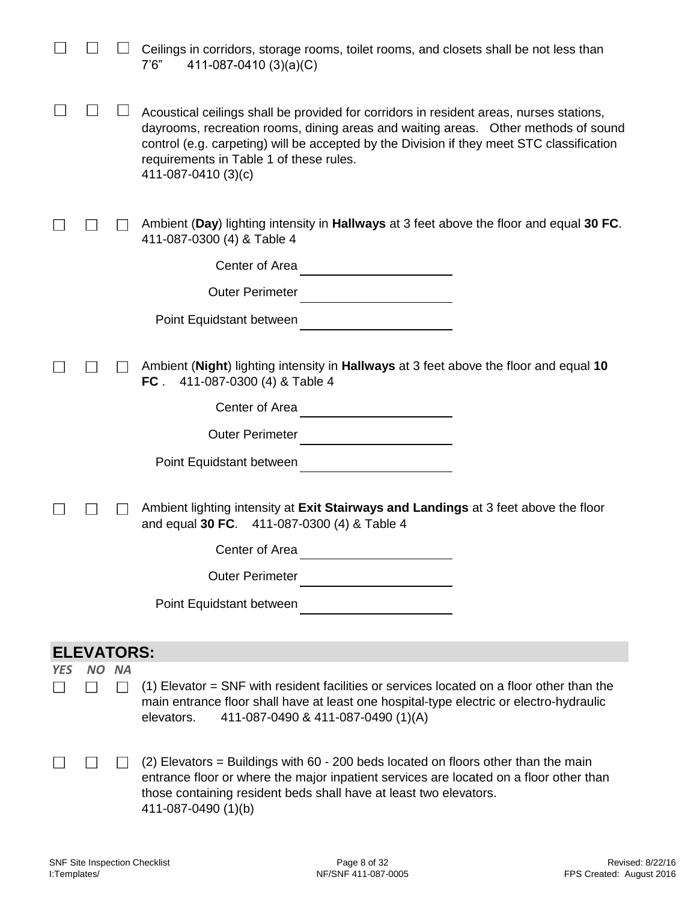|            |                   |              | Ceilings in corridors, storage rooms, toilet rooms, and closets shall be not less than<br>411-087-0410 (3)(a)(C)<br>7'6''                                                                                                                                                                                                                     |
|------------|-------------------|--------------|-----------------------------------------------------------------------------------------------------------------------------------------------------------------------------------------------------------------------------------------------------------------------------------------------------------------------------------------------|
|            |                   |              | Acoustical ceilings shall be provided for corridors in resident areas, nurses stations,<br>dayrooms, recreation rooms, dining areas and waiting areas.  Other methods of sound<br>control (e.g. carpeting) will be accepted by the Division if they meet STC classification<br>requirements in Table 1 of these rules.<br>411-087-0410 (3)(c) |
|            |                   |              | Ambient (Day) lighting intensity in Hallways at 3 feet above the floor and equal 30 FC.<br>411-087-0300 (4) & Table 4                                                                                                                                                                                                                         |
|            |                   |              | Center of Area<br><u> 1980 - Andrea Andrew Maria III (b. 1971)</u>                                                                                                                                                                                                                                                                            |
|            |                   |              | <b>Outer Perimeter</b><br><u> 1989 - Jan Barbara Barat, prima prima prima prima prima prima prima prima prima prima prima prima prima prim</u>                                                                                                                                                                                                |
|            |                   |              | Point Equidstant between                                                                                                                                                                                                                                                                                                                      |
|            |                   |              | Ambient (Night) lighting intensity in Hallways at 3 feet above the floor and equal 10<br>FC.<br>411-087-0300 (4) & Table 4                                                                                                                                                                                                                    |
|            |                   |              | Center of Area                                                                                                                                                                                                                                                                                                                                |
|            |                   |              | <b>Outer Perimeter</b>                                                                                                                                                                                                                                                                                                                        |
|            |                   |              | Point Equidstant between                                                                                                                                                                                                                                                                                                                      |
|            |                   |              | Ambient lighting intensity at Exit Stairways and Landings at 3 feet above the floor<br>and equal 30 FC. 411-087-0300 (4) & Table 4                                                                                                                                                                                                            |
|            |                   |              | Center of Area                                                                                                                                                                                                                                                                                                                                |
|            |                   |              | <b>Outer Perimeter</b>                                                                                                                                                                                                                                                                                                                        |
|            |                   |              | Point Equidstant between                                                                                                                                                                                                                                                                                                                      |
|            | <b>ELEVATORS:</b> |              |                                                                                                                                                                                                                                                                                                                                               |
| <b>YES</b> | <b>NO</b>         | <b>NA</b>    |                                                                                                                                                                                                                                                                                                                                               |
|            |                   | $\mathbf{I}$ | (1) Elevator = SNF with resident facilities or services located on a floor other than the<br>main entrance floor shall have at least one hospital-type electric or electro-hydraulic<br>elevators.<br>411-087-0490 & 411-087-0490 (1)(A)                                                                                                      |
|            | $\mathcal{L}$     | $\mathsf{L}$ | (2) Elevators = Buildings with 60 - 200 beds located on floors other than the main<br>entrance floor or where the major inpatient services are located on a floor other than<br>those containing resident beds shall have at least two elevators.<br>411-087-0490 (1)(b)                                                                      |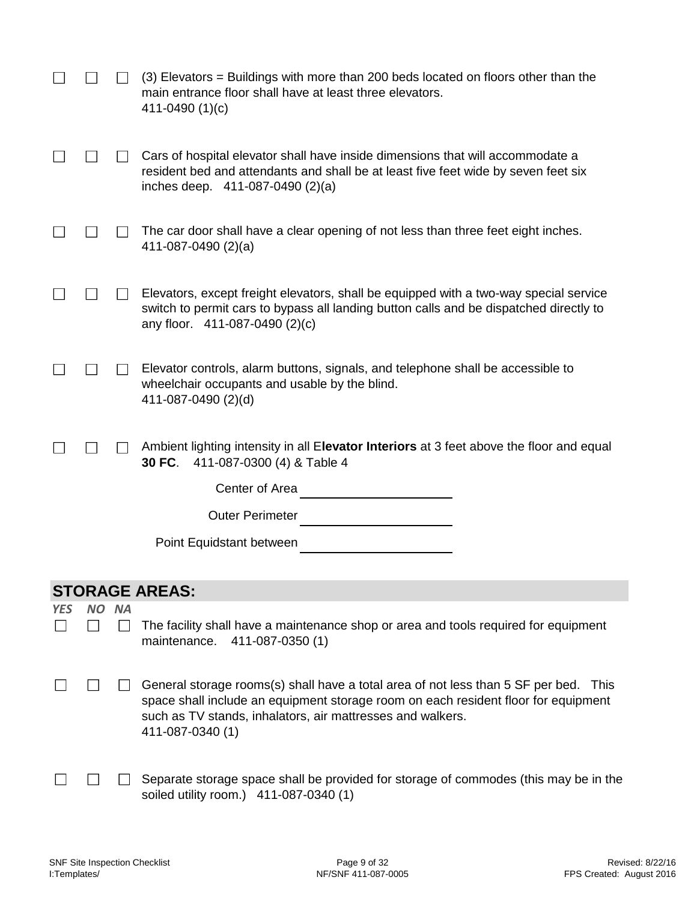|            |           |           | (3) Elevators = Buildings with more than 200 beds located on floors other than the<br>main entrance floor shall have at least three elevators.<br>411-0490 (1)(c)                                                                                            |
|------------|-----------|-----------|--------------------------------------------------------------------------------------------------------------------------------------------------------------------------------------------------------------------------------------------------------------|
|            |           |           | Cars of hospital elevator shall have inside dimensions that will accommodate a<br>resident bed and attendants and shall be at least five feet wide by seven feet six<br>inches deep. 411-087-0490 (2)(a)                                                     |
|            |           |           | The car door shall have a clear opening of not less than three feet eight inches.<br>411-087-0490 $(2)(a)$                                                                                                                                                   |
|            |           |           | Elevators, except freight elevators, shall be equipped with a two-way special service<br>switch to permit cars to bypass all landing button calls and be dispatched directly to<br>any floor. 411-087-0490 (2)(c)                                            |
|            |           |           | Elevator controls, alarm buttons, signals, and telephone shall be accessible to<br>wheelchair occupants and usable by the blind.<br>411-087-0490 (2)(d)                                                                                                      |
|            |           |           | Ambient lighting intensity in all Elevator Interiors at 3 feet above the floor and equal<br>30 FC.<br>411-087-0300 (4) & Table 4                                                                                                                             |
|            |           |           | Center of Area                                                                                                                                                                                                                                               |
|            |           |           | <b>Outer Perimeter</b>                                                                                                                                                                                                                                       |
|            |           |           | Point Equidstant between                                                                                                                                                                                                                                     |
|            |           |           | <b>STORAGE AREAS:</b>                                                                                                                                                                                                                                        |
| <b>YES</b> | <b>NO</b> | <b>NA</b> |                                                                                                                                                                                                                                                              |
|            |           |           | The facility shall have a maintenance shop or area and tools required for equipment<br>411-087-0350 (1)<br>maintenance.                                                                                                                                      |
|            |           |           | General storage rooms(s) shall have a total area of not less than 5 SF per bed. This<br>space shall include an equipment storage room on each resident floor for equipment<br>such as TV stands, inhalators, air mattresses and walkers.<br>411-087-0340 (1) |
|            |           |           | Separate storage space shall be provided for storage of commodes (this may be in the<br>soiled utility room.) 411-087-0340 (1)                                                                                                                               |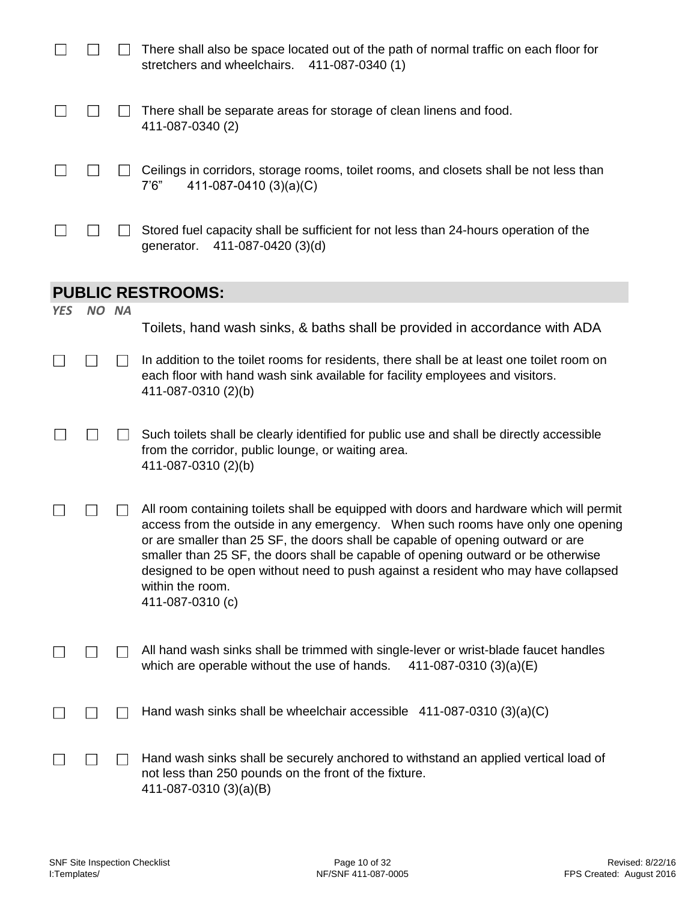|            |       | There shall also be space located out of the path of normal traffic on each floor for<br>stretchers and wheelchairs.<br>411-087-0340 (1)                                                                                                                                                                                                                                                                                                                                         |
|------------|-------|----------------------------------------------------------------------------------------------------------------------------------------------------------------------------------------------------------------------------------------------------------------------------------------------------------------------------------------------------------------------------------------------------------------------------------------------------------------------------------|
|            |       | There shall be separate areas for storage of clean linens and food.<br>411-087-0340 (2)                                                                                                                                                                                                                                                                                                                                                                                          |
|            |       | Ceilings in corridors, storage rooms, toilet rooms, and closets shall be not less than<br>411-087-0410 $(3)(a)(C)$<br>7'6''                                                                                                                                                                                                                                                                                                                                                      |
|            |       | Stored fuel capacity shall be sufficient for not less than 24-hours operation of the<br>generator.<br>411-087-0420 (3)(d)                                                                                                                                                                                                                                                                                                                                                        |
|            |       | <b>PUBLIC RESTROOMS:</b>                                                                                                                                                                                                                                                                                                                                                                                                                                                         |
| <b>YES</b> | NO NA |                                                                                                                                                                                                                                                                                                                                                                                                                                                                                  |
|            |       | Toilets, hand wash sinks, & baths shall be provided in accordance with ADA                                                                                                                                                                                                                                                                                                                                                                                                       |
|            |       | In addition to the toilet rooms for residents, there shall be at least one toilet room on<br>each floor with hand wash sink available for facility employees and visitors.<br>411-087-0310 (2)(b)                                                                                                                                                                                                                                                                                |
|            |       | Such toilets shall be clearly identified for public use and shall be directly accessible<br>from the corridor, public lounge, or waiting area.<br>411-087-0310 (2)(b)                                                                                                                                                                                                                                                                                                            |
|            |       | All room containing toilets shall be equipped with doors and hardware which will permit<br>access from the outside in any emergency. When such rooms have only one opening<br>or are smaller than 25 SF, the doors shall be capable of opening outward or are<br>smaller than 25 SF, the doors shall be capable of opening outward or be otherwise<br>designed to be open without need to push against a resident who may have collapsed<br>within the room.<br>411-087-0310 (c) |
|            |       | All hand wash sinks shall be trimmed with single-lever or wrist-blade faucet handles<br>which are operable without the use of hands.<br>411-087-0310 (3)(a)(E)                                                                                                                                                                                                                                                                                                                   |
|            |       | Hand wash sinks shall be wheelchair accessible $411-087-0310(3)(a)(C)$                                                                                                                                                                                                                                                                                                                                                                                                           |
|            |       | Hand wash sinks shall be securely anchored to withstand an applied vertical load of<br>not less than 250 pounds on the front of the fixture.<br>411-087-0310 (3)(a)(B)                                                                                                                                                                                                                                                                                                           |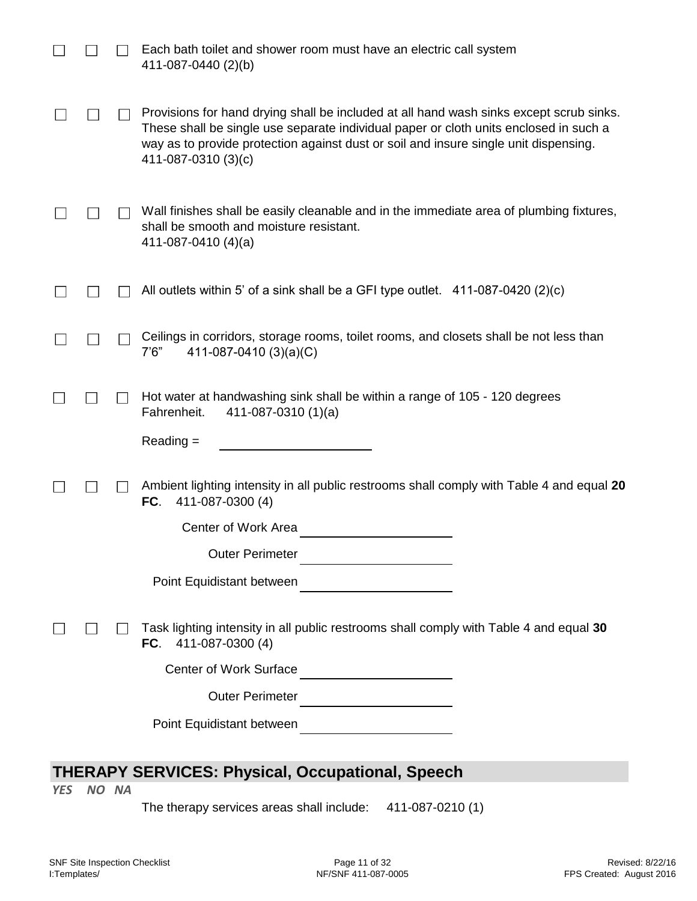|                                                         |  | Each bath toilet and shower room must have an electric call system<br>411-087-0440 (2)(b)                                                                                                                                                                                                       |  |  |
|---------------------------------------------------------|--|-------------------------------------------------------------------------------------------------------------------------------------------------------------------------------------------------------------------------------------------------------------------------------------------------|--|--|
|                                                         |  | Provisions for hand drying shall be included at all hand wash sinks except scrub sinks.<br>These shall be single use separate individual paper or cloth units enclosed in such a<br>way as to provide protection against dust or soil and insure single unit dispensing.<br>411-087-0310 (3)(c) |  |  |
|                                                         |  | Wall finishes shall be easily cleanable and in the immediate area of plumbing fixtures,<br>shall be smooth and moisture resistant.<br>411-087-0410 $(4)(a)$                                                                                                                                     |  |  |
|                                                         |  | All outlets within 5' of a sink shall be a GFI type outlet. 411-087-0420 (2)(c)                                                                                                                                                                                                                 |  |  |
|                                                         |  | Ceilings in corridors, storage rooms, toilet rooms, and closets shall be not less than<br>411-087-0410 (3)(a)(C)<br>7'6''                                                                                                                                                                       |  |  |
|                                                         |  | Hot water at handwashing sink shall be within a range of 105 - 120 degrees<br>Fahrenheit.<br>411-087-0310 $(1)(a)$                                                                                                                                                                              |  |  |
|                                                         |  | $Reading =$                                                                                                                                                                                                                                                                                     |  |  |
|                                                         |  | Ambient lighting intensity in all public restrooms shall comply with Table 4 and equal 20<br>FC.<br>411-087-0300 (4)                                                                                                                                                                            |  |  |
|                                                         |  | Center of Work Area                                                                                                                                                                                                                                                                             |  |  |
|                                                         |  | <b>Outer Perimeter</b>                                                                                                                                                                                                                                                                          |  |  |
|                                                         |  | Point Equidistant between                                                                                                                                                                                                                                                                       |  |  |
|                                                         |  | Task lighting intensity in all public restrooms shall comply with Table 4 and equal 30<br>FC.<br>411-087-0300 (4)                                                                                                                                                                               |  |  |
|                                                         |  | <b>Center of Work Surface</b>                                                                                                                                                                                                                                                                   |  |  |
|                                                         |  | <b>Outer Perimeter</b>                                                                                                                                                                                                                                                                          |  |  |
|                                                         |  | Point Equidistant between                                                                                                                                                                                                                                                                       |  |  |
|                                                         |  |                                                                                                                                                                                                                                                                                                 |  |  |
| <b>THERAPY SERVICES: Physical, Occupational, Speech</b> |  |                                                                                                                                                                                                                                                                                                 |  |  |

*YES NO NA*

The therapy services areas shall include: 411-087-0210 (1)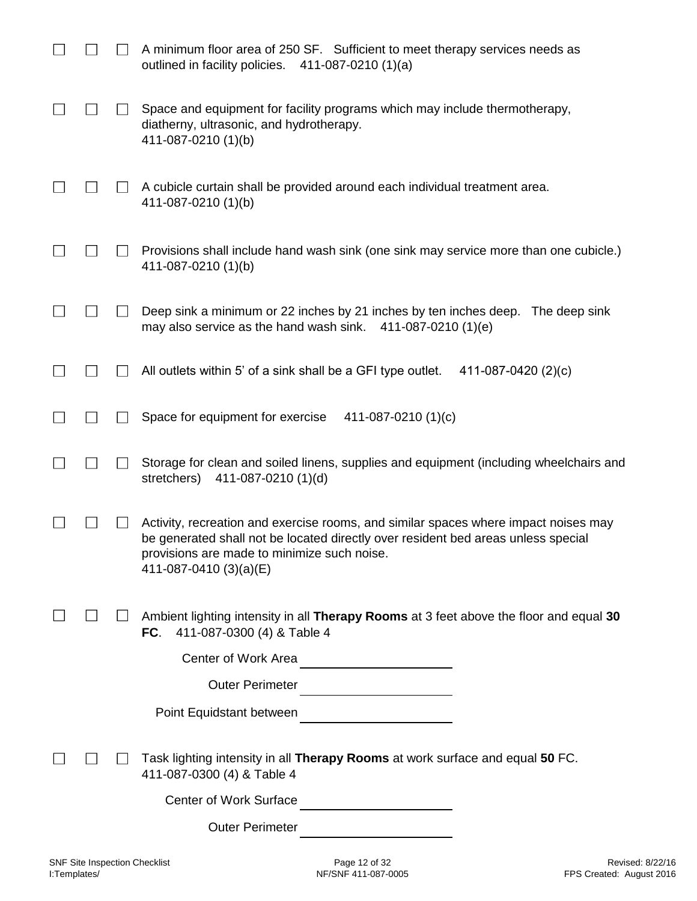|  | A minimum floor area of 250 SF. Sufficient to meet therapy services needs as<br>outlined in facility policies.<br>$411-087-0210(1)(a)$                                                                                                            |
|--|---------------------------------------------------------------------------------------------------------------------------------------------------------------------------------------------------------------------------------------------------|
|  | Space and equipment for facility programs which may include thermotherapy,<br>diatherny, ultrasonic, and hydrotherapy.<br>411-087-0210 (1)(b)                                                                                                     |
|  | A cubicle curtain shall be provided around each individual treatment area.<br>411-087-0210 (1)(b)                                                                                                                                                 |
|  | Provisions shall include hand wash sink (one sink may service more than one cubicle.)<br>411-087-0210 (1)(b)                                                                                                                                      |
|  | Deep sink a minimum or 22 inches by 21 inches by ten inches deep. The deep sink<br>may also service as the hand wash sink.<br>411-087-0210 (1)(e)                                                                                                 |
|  | All outlets within 5' of a sink shall be a GFI type outlet.<br>411-087-0420 (2)(c)                                                                                                                                                                |
|  | Space for equipment for exercise<br>411-087-0210 (1)(c)                                                                                                                                                                                           |
|  | Storage for clean and soiled linens, supplies and equipment (including wheelchairs and<br>stretchers)<br>411-087-0210 (1)(d)                                                                                                                      |
|  | Activity, recreation and exercise rooms, and similar spaces where impact noises may<br>be generated shall not be located directly over resident bed areas unless special<br>provisions are made to minimize such noise.<br>411-087-0410 (3)(a)(E) |
|  | Ambient lighting intensity in all Therapy Rooms at 3 feet above the floor and equal 30<br>FC.<br>411-087-0300 (4) & Table 4                                                                                                                       |
|  | Center of Work Area                                                                                                                                                                                                                               |
|  | <b>Outer Perimeter</b>                                                                                                                                                                                                                            |
|  | Point Equidstant between                                                                                                                                                                                                                          |
|  | Task lighting intensity in all Therapy Rooms at work surface and equal 50 FC.<br>411-087-0300 (4) & Table 4                                                                                                                                       |
|  | <b>Center of Work Surface</b>                                                                                                                                                                                                                     |
|  | <b>Outer Perimeter</b>                                                                                                                                                                                                                            |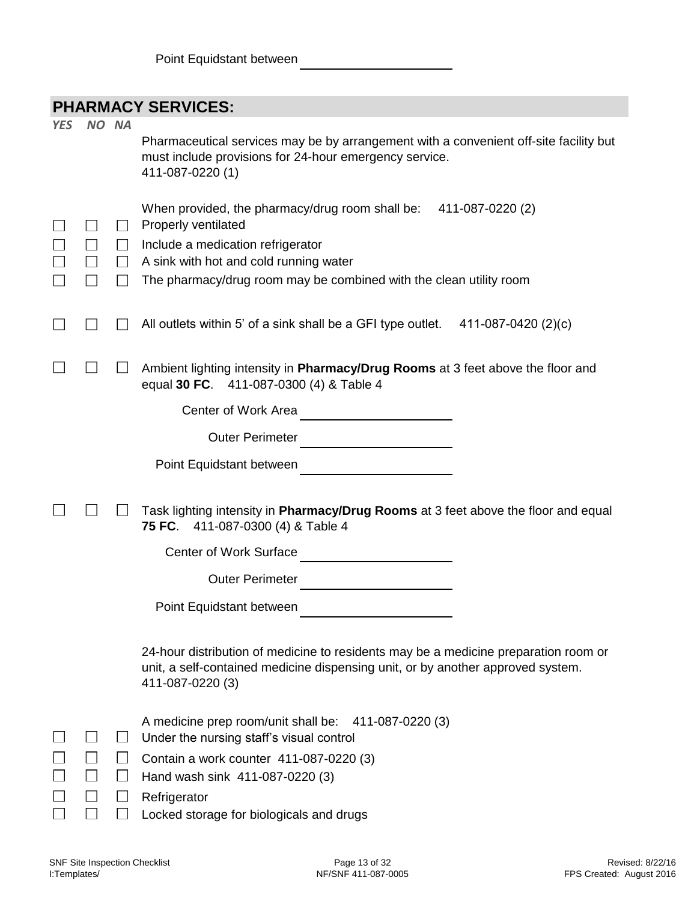|  | <b>PHARMACY SERVICES:</b> |
|--|---------------------------|
|--|---------------------------|

|            |        | I IIAI\IIIAVI JLI\VIVLJ.                                                                                                                                                                                                                        |
|------------|--------|-------------------------------------------------------------------------------------------------------------------------------------------------------------------------------------------------------------------------------------------------|
| <b>YES</b> | NO NA  | Pharmaceutical services may be by arrangement with a convenient off-site facility but<br>must include provisions for 24-hour emergency service.<br>411-087-0220 (1)                                                                             |
|            |        | When provided, the pharmacy/drug room shall be:<br>411-087-0220 (2)<br>Properly ventilated<br>Include a medication refrigerator<br>A sink with hot and cold running water<br>The pharmacy/drug room may be combined with the clean utility room |
|            |        | All outlets within 5' of a sink shall be a GFI type outlet.<br>411-087-0420 (2)(c)                                                                                                                                                              |
|            |        | Ambient lighting intensity in Pharmacy/Drug Rooms at 3 feet above the floor and<br>equal 30 FC. 411-087-0300 (4) & Table 4<br>Center of Work Area                                                                                               |
|            |        | <b>Outer Perimeter</b>                                                                                                                                                                                                                          |
|            |        | Point Equidstant between                                                                                                                                                                                                                        |
|            |        | Task lighting intensity in Pharmacy/Drug Rooms at 3 feet above the floor and equal<br>75 FC.<br>411-087-0300 (4) & Table 4                                                                                                                      |
|            |        | <b>Center of Work Surface</b>                                                                                                                                                                                                                   |
|            |        | <b>Outer Perimeter</b>                                                                                                                                                                                                                          |
|            |        | Point Equidstant between                                                                                                                                                                                                                        |
|            |        | 24-hour distribution of medicine to residents may be a medicine preparation room or<br>unit, a self-contained medicine dispensing unit, or by another approved system.<br>411-087-0220 (3)                                                      |
|            | $\Box$ | A medicine prep room/unit shall be: 411-087-0220 (3)<br>Under the nursing staff's visual control<br>Contain a work counter 411-087-0220 (3)<br>Hand wash sink 411-087-0220 (3)<br>Refrigerator                                                  |
|            |        | Locked storage for biologicals and drugs                                                                                                                                                                                                        |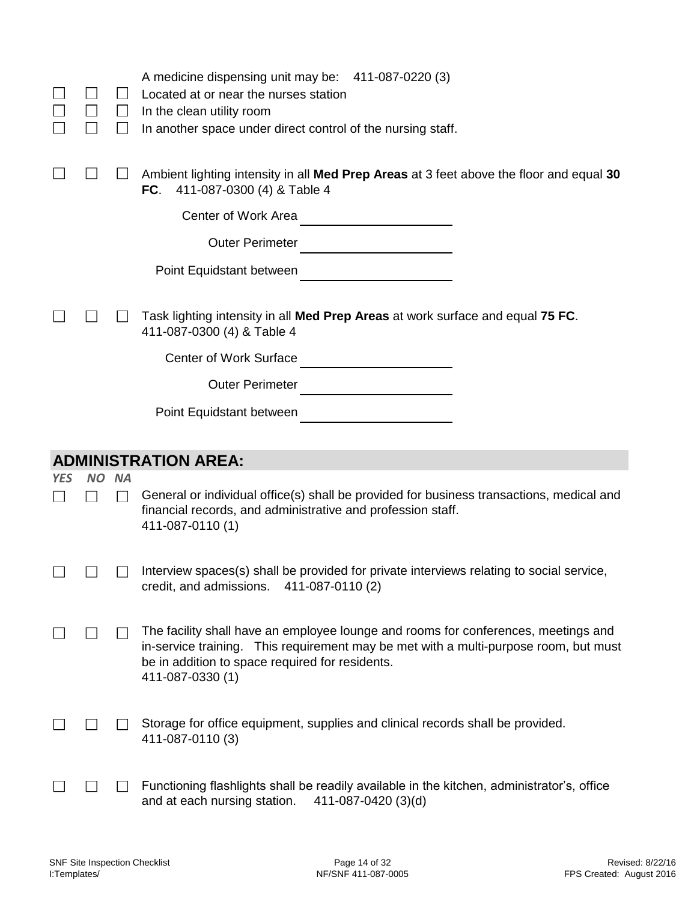|     |           | $\Box$    | A medicine dispensing unit may be: 411-087-0220 (3)<br>Located at or near the nurses station<br>In the clean utility room<br>In another space under direct control of the nursing staff.                                                          |
|-----|-----------|-----------|---------------------------------------------------------------------------------------------------------------------------------------------------------------------------------------------------------------------------------------------------|
|     |           |           | Ambient lighting intensity in all Med Prep Areas at 3 feet above the floor and equal 30<br>FC.<br>411-087-0300 (4) & Table 4                                                                                                                      |
|     |           |           | Center of Work Area<br><u> 1989 - Jan Barnett, fransk politiker</u>                                                                                                                                                                               |
|     |           |           | <b>Outer Perimeter</b>                                                                                                                                                                                                                            |
|     |           |           | Point Equidstant between                                                                                                                                                                                                                          |
|     |           |           | Task lighting intensity in all Med Prep Areas at work surface and equal 75 FC.<br>411-087-0300 (4) & Table 4                                                                                                                                      |
|     |           |           | <b>Center of Work Surface</b>                                                                                                                                                                                                                     |
|     |           |           | <b>Outer Perimeter</b>                                                                                                                                                                                                                            |
|     |           |           | Point Equidstant between                                                                                                                                                                                                                          |
|     |           |           |                                                                                                                                                                                                                                                   |
|     |           |           |                                                                                                                                                                                                                                                   |
|     |           |           | <b>ADMINISTRATION AREA:</b>                                                                                                                                                                                                                       |
| YES | <b>NO</b> | <b>NA</b> | General or individual office(s) shall be provided for business transactions, medical and<br>financial records, and administrative and profession staff.<br>411-087-0110 (1)                                                                       |
|     |           |           | Interview spaces(s) shall be provided for private interviews relating to social service<br>credit, and admissions. $411-087-0110(2)$                                                                                                              |
|     |           |           | The facility shall have an employee lounge and rooms for conferences, meetings and<br>in-service training. This requirement may be met with a multi-purpose room, but must<br>be in addition to space required for residents.<br>411-087-0330 (1) |
|     |           |           | Storage for office equipment, supplies and clinical records shall be provided.<br>411-087-0110 (3)                                                                                                                                                |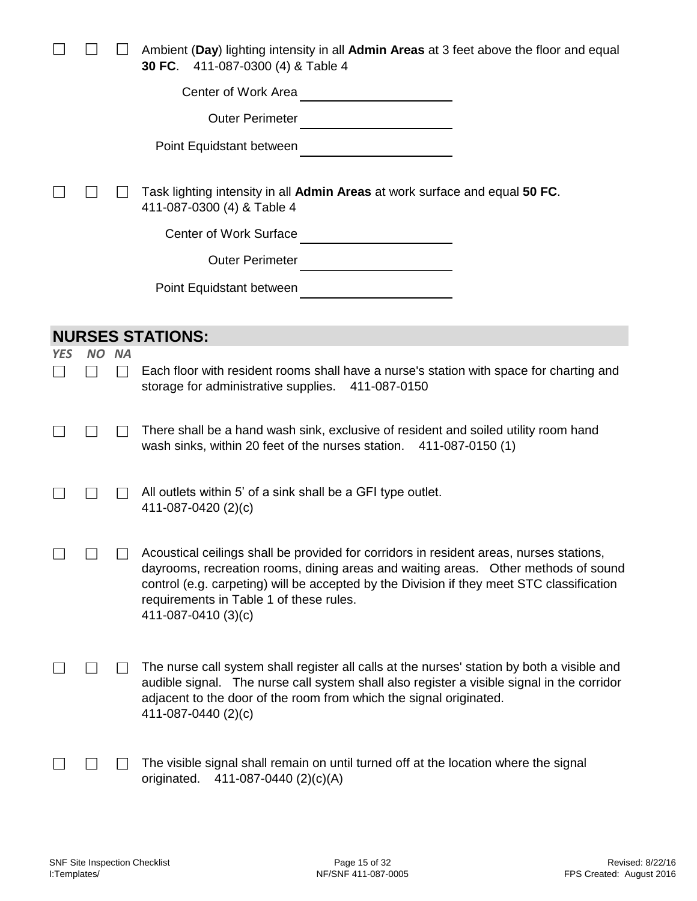|     |                           |           | Ambient (Day) lighting intensity in all Admin Areas at 3 feet above the floor and equal<br>30 FC.<br>411-087-0300 (4) & Table 4                                                                                                                                                                                                              |
|-----|---------------------------|-----------|----------------------------------------------------------------------------------------------------------------------------------------------------------------------------------------------------------------------------------------------------------------------------------------------------------------------------------------------|
|     |                           |           | Center of Work Area                                                                                                                                                                                                                                                                                                                          |
|     |                           |           | <b>Outer Perimeter</b>                                                                                                                                                                                                                                                                                                                       |
|     |                           |           | Point Equidstant between                                                                                                                                                                                                                                                                                                                     |
|     |                           |           | Task lighting intensity in all Admin Areas at work surface and equal 50 FC.<br>411-087-0300 (4) & Table 4                                                                                                                                                                                                                                    |
|     |                           |           | <b>Center of Work Surface</b>                                                                                                                                                                                                                                                                                                                |
|     |                           |           | <b>Outer Perimeter</b>                                                                                                                                                                                                                                                                                                                       |
|     |                           |           | Point Equidstant between                                                                                                                                                                                                                                                                                                                     |
|     |                           |           |                                                                                                                                                                                                                                                                                                                                              |
|     |                           |           | <b>NURSES STATIONS:</b>                                                                                                                                                                                                                                                                                                                      |
| YES | <b>NO</b><br>$\mathbf{I}$ | <b>NA</b> | Each floor with resident rooms shall have a nurse's station with space for charting and<br>storage for administrative supplies.<br>411-087-0150                                                                                                                                                                                              |
|     |                           |           | There shall be a hand wash sink, exclusive of resident and soiled utility room hand<br>wash sinks, within 20 feet of the nurses station.<br>411-087-0150 (1)                                                                                                                                                                                 |
|     |                           |           | All outlets within 5' of a sink shall be a GFI type outlet.<br>411-087-0420 (2)(c)                                                                                                                                                                                                                                                           |
|     |                           |           | Acoustical ceilings shall be provided for corridors in resident areas, nurses stations,<br>dayrooms, recreation rooms, dining areas and waiting areas. Other methods of sound<br>control (e.g. carpeting) will be accepted by the Division if they meet STC classification<br>requirements in Table 1 of these rules.<br>411-087-0410 (3)(c) |
|     |                           |           | The nurse call system shall register all calls at the nurses' station by both a visible and<br>audible signal. The nurse call system shall also register a visible signal in the corridor<br>adjacent to the door of the room from which the signal originated.<br>411-087-0440 (2)(c)                                                       |
|     |                           |           | The visible signal shall remain on until turned off at the location where the signal<br>411-087-0440 (2)(c)(A)<br>originated.                                                                                                                                                                                                                |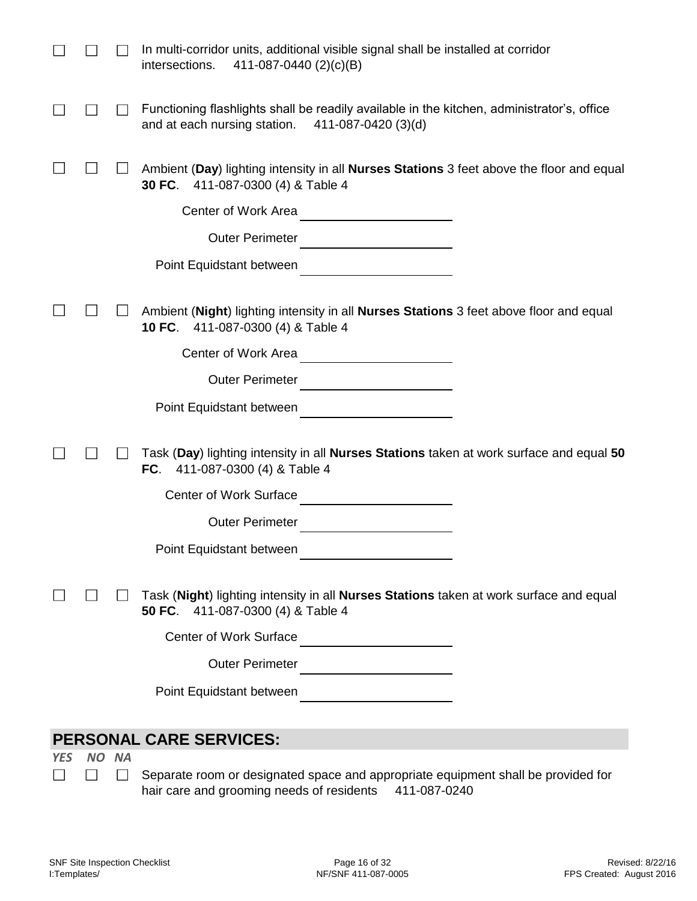|            |           |                | In multi-corridor units, additional visible signal shall be installed at corridor<br>411-087-0440 (2)(c)(B)<br>intersections.                     |
|------------|-----------|----------------|---------------------------------------------------------------------------------------------------------------------------------------------------|
|            |           |                | Functioning flashlights shall be readily available in the kitchen, administrator's, office<br>and at each nursing station.<br>411-087-0420 (3)(d) |
|            |           |                | Ambient (Day) lighting intensity in all Nurses Stations 3 feet above the floor and equal<br>30 FC.<br>411-087-0300 (4) & Table 4                  |
|            |           |                | Center of Work Area                                                                                                                               |
|            |           |                | <b>Outer Perimeter</b>                                                                                                                            |
|            |           |                | Point Equidstant between<br><u> 1989 - Johann Barbara, martin a</u>                                                                               |
|            |           |                |                                                                                                                                                   |
|            |           |                | Ambient (Night) lighting intensity in all Nurses Stations 3 feet above floor and equal<br>411-087-0300 (4) & Table 4<br><b>10 FC.</b>             |
|            |           |                | Center of Work Area                                                                                                                               |
|            |           |                | <b>Outer Perimeter</b>                                                                                                                            |
|            |           |                | Point Equidstant between                                                                                                                          |
|            |           |                |                                                                                                                                                   |
|            |           |                | Task (Day) lighting intensity in all Nurses Stations taken at work surface and equal 50<br>FC. $411-087-0300$ (4) & Table 4                       |
|            |           |                | Center of Work Surface                                                                                                                            |
|            |           |                | <b>Outer Perimeter</b>                                                                                                                            |
|            |           |                | Point Equidstant between                                                                                                                          |
|            |           |                |                                                                                                                                                   |
|            |           |                | Task (Night) lighting intensity in all Nurses Stations taken at work surface and equal<br>50 FC.<br>411-087-0300 (4) & Table 4                    |
|            |           |                | <b>Center of Work Surface</b>                                                                                                                     |
|            |           |                | <b>Outer Perimeter</b>                                                                                                                            |
|            |           |                | Point Equidstant between                                                                                                                          |
|            |           |                |                                                                                                                                                   |
|            |           |                | <b>PERSONAL CARE SERVICES:</b>                                                                                                                    |
| <b>YES</b> | <b>NO</b> | <b>NA</b>      |                                                                                                                                                   |
|            |           | $\blacksquare$ | Separate room or designated space and appropriate equipment shall be provided for<br>hair care and grooming needs of residents<br>411-087-0240    |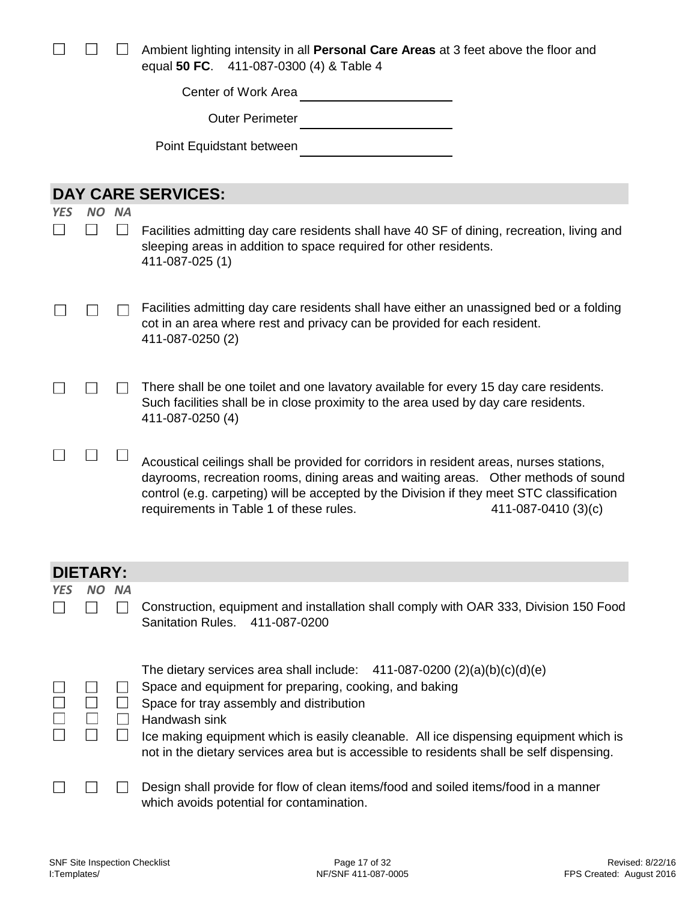|     |                 |           | Ambient lighting intensity in all <b>Personal Care Areas</b> at 3 feet above the floor and<br>equal 50 FC. 411-087-0300 (4) & Table 4                                                                                                                                                                                                        |
|-----|-----------------|-----------|----------------------------------------------------------------------------------------------------------------------------------------------------------------------------------------------------------------------------------------------------------------------------------------------------------------------------------------------|
|     |                 |           | Center of Work Area                                                                                                                                                                                                                                                                                                                          |
|     |                 |           | <b>Outer Perimeter</b>                                                                                                                                                                                                                                                                                                                       |
|     |                 |           | Point Equidstant between                                                                                                                                                                                                                                                                                                                     |
|     |                 |           |                                                                                                                                                                                                                                                                                                                                              |
|     |                 |           | <b>DAY CARE SERVICES:</b>                                                                                                                                                                                                                                                                                                                    |
| YES | NO.             | <b>NA</b> |                                                                                                                                                                                                                                                                                                                                              |
|     |                 |           | Facilities admitting day care residents shall have 40 SF of dining, recreation, living and<br>sleeping areas in addition to space required for other residents.<br>411-087-025 (1)                                                                                                                                                           |
|     |                 |           | Facilities admitting day care residents shall have either an unassigned bed or a folding<br>cot in an area where rest and privacy can be provided for each resident.<br>411-087-0250 (2)                                                                                                                                                     |
|     |                 |           | There shall be one toilet and one lavatory available for every 15 day care residents.<br>Such facilities shall be in close proximity to the area used by day care residents.<br>411-087-0250 (4)                                                                                                                                             |
|     |                 |           | Acoustical ceilings shall be provided for corridors in resident areas, nurses stations,<br>dayrooms, recreation rooms, dining areas and waiting areas. Other methods of sound<br>control (e.g. carpeting) will be accepted by the Division if they meet STC classification<br>requirements in Table 1 of these rules.<br>411-087-0410 (3)(c) |
|     | <b>DIETARY:</b> |           |                                                                                                                                                                                                                                                                                                                                              |
| YES | NΟ              | <b>NA</b> |                                                                                                                                                                                                                                                                                                                                              |
|     |                 |           | Construction, equipment and installation shall comply with OAR 333, Division 150 Food<br><b>Sanitation Rules.</b><br>411-087-0200                                                                                                                                                                                                            |
|     |                 |           | The dietary services area shall include: $411-087-0200$ (2)(a)(b)(c)(d)(e)                                                                                                                                                                                                                                                                   |
|     |                 |           | Space and equipment for preparing, cooking, and baking                                                                                                                                                                                                                                                                                       |
|     |                 |           | Space for tray assembly and distribution<br>Handwash sink                                                                                                                                                                                                                                                                                    |
|     | П               | $\Box$    | Ice making equipment which is easily cleanable. All ice dispensing equipment which is<br>not in the dietary services area but is accessible to residents shall be self dispensing.                                                                                                                                                           |
|     |                 |           | Design shall provide for flow of clean items/food and soiled items/food in a manner<br>which avoids potential for contamination.                                                                                                                                                                                                             |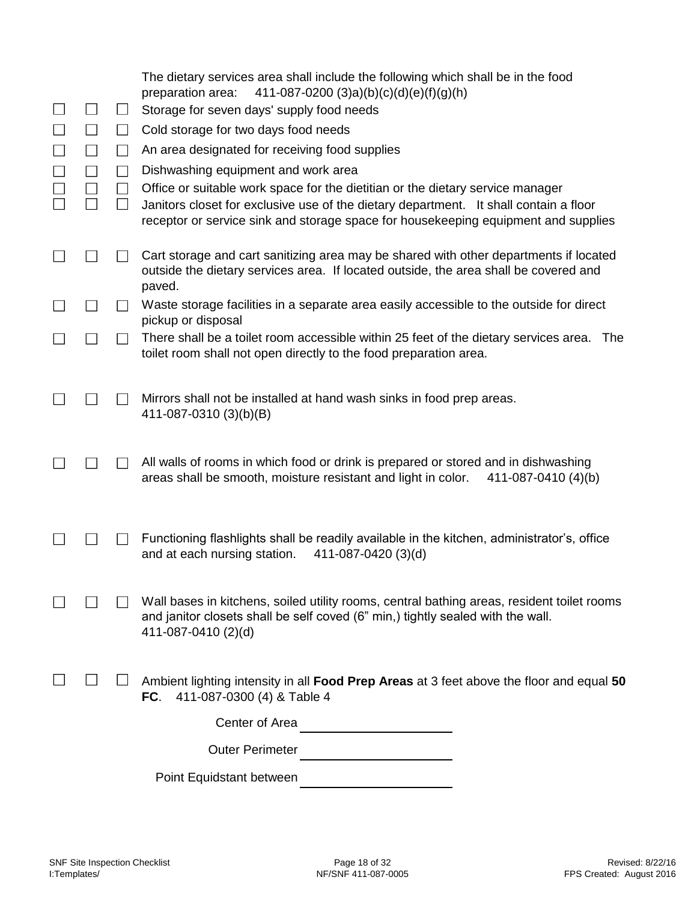|  |                 | The dietary services area shall include the following which shall be in the food<br>411-087-0200 (3)a)(b)(c)(d)(e)(f)(g)(h)<br>preparation area:                                                                                                              |
|--|-----------------|---------------------------------------------------------------------------------------------------------------------------------------------------------------------------------------------------------------------------------------------------------------|
|  | $\Box$          | Storage for seven days' supply food needs                                                                                                                                                                                                                     |
|  | $\perp$         | Cold storage for two days food needs                                                                                                                                                                                                                          |
|  | $\mathsf{L}$    | An area designated for receiving food supplies                                                                                                                                                                                                                |
|  | $\vert$ $\vert$ | Dishwashing equipment and work area                                                                                                                                                                                                                           |
|  |                 | Office or suitable work space for the dietitian or the dietary service manager<br>Janitors closet for exclusive use of the dietary department. It shall contain a floor<br>receptor or service sink and storage space for housekeeping equipment and supplies |
|  |                 | Cart storage and cart sanitizing area may be shared with other departments if located<br>outside the dietary services area. If located outside, the area shall be covered and<br>paved.                                                                       |
|  |                 | Waste storage facilities in a separate area easily accessible to the outside for direct<br>pickup or disposal                                                                                                                                                 |
|  |                 | There shall be a toilet room accessible within 25 feet of the dietary services area.<br>The<br>toilet room shall not open directly to the food preparation area.                                                                                              |
|  |                 | Mirrors shall not be installed at hand wash sinks in food prep areas.<br>411-087-0310 (3)(b)(B)                                                                                                                                                               |
|  |                 | All walls of rooms in which food or drink is prepared or stored and in dishwashing<br>areas shall be smooth, moisture resistant and light in color.<br>411-087-0410 (4)(b)                                                                                    |
|  |                 | Functioning flashlights shall be readily available in the kitchen, administrator's, office<br>and at each nursing station.<br>411-087-0420 (3)(d)                                                                                                             |
|  |                 | Wall bases in kitchens, soiled utility rooms, central bathing areas, resident toilet rooms<br>and janitor closets shall be self coved (6" min,) tightly sealed with the wall.<br>411-087-0410 (2)(d)                                                          |
|  |                 | Ambient lighting intensity in all Food Prep Areas at 3 feet above the floor and equal 50<br>FC.<br>411-087-0300 (4) & Table 4                                                                                                                                 |
|  |                 | Center of Area                                                                                                                                                                                                                                                |
|  |                 | <b>Outer Perimeter</b>                                                                                                                                                                                                                                        |
|  |                 | Point Equidstant between                                                                                                                                                                                                                                      |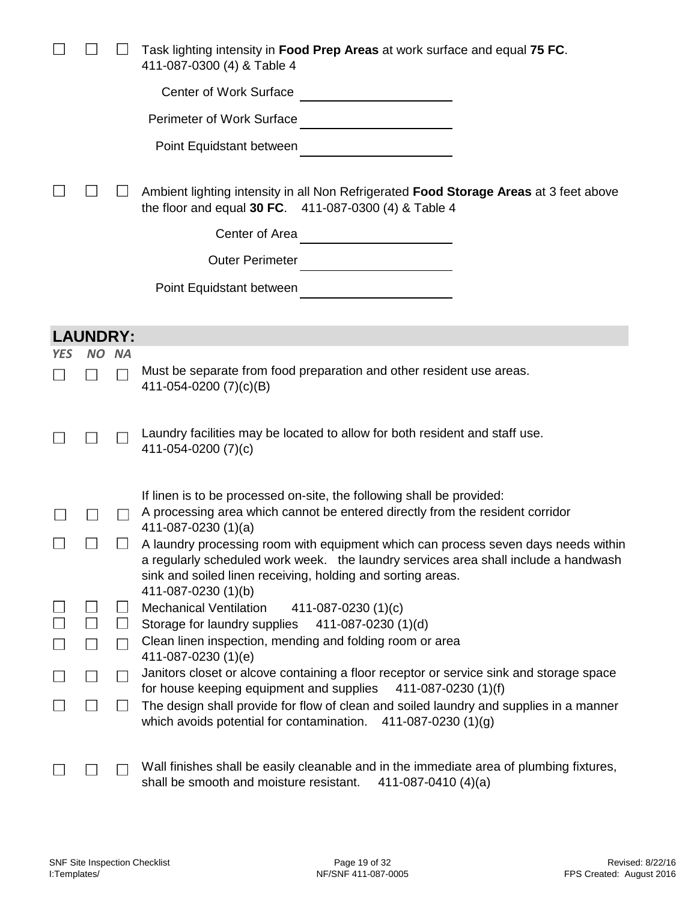|            |                 |           | Task lighting intensity in Food Prep Areas at work surface and equal 75 FC.<br>411-087-0300 (4) & Table 4                                                                                                                                              |
|------------|-----------------|-----------|--------------------------------------------------------------------------------------------------------------------------------------------------------------------------------------------------------------------------------------------------------|
|            |                 |           | <b>Center of Work Surface</b>                                                                                                                                                                                                                          |
|            |                 |           | Perimeter of Work Surface                                                                                                                                                                                                                              |
|            |                 |           | Point Equidstant between                                                                                                                                                                                                                               |
|            |                 |           | Ambient lighting intensity in all Non Refrigerated Food Storage Areas at 3 feet above<br>the floor and equal 30 FC. 411-087-0300 (4) & Table 4                                                                                                         |
|            |                 |           | Center of Area<br><u>and the community of the community of the community of the community of the community of the community of the community of the community of the community of the community of the community of the community of the community</u> |
|            |                 |           | <b>Outer Perimeter</b>                                                                                                                                                                                                                                 |
|            |                 |           | Point Equidstant between                                                                                                                                                                                                                               |
|            |                 |           |                                                                                                                                                                                                                                                        |
|            | <b>LAUNDRY:</b> |           |                                                                                                                                                                                                                                                        |
| <b>YES</b> | <b>NO</b>       | <b>NA</b> |                                                                                                                                                                                                                                                        |
|            |                 |           | Must be separate from food preparation and other resident use areas.<br>411-054-0200 (7)(c)(B)                                                                                                                                                         |
|            |                 |           | Laundry facilities may be located to allow for both resident and staff use.<br>411-054-0200 (7)(c)                                                                                                                                                     |
|            |                 |           | If linen is to be processed on-site, the following shall be provided:                                                                                                                                                                                  |
|            |                 |           | A processing area which cannot be entered directly from the resident corridor                                                                                                                                                                          |
|            |                 |           | 411-087-0230 $(1)(a)$<br>A laundry processing room with equipment which can process seven days needs within                                                                                                                                            |
|            |                 |           | a regularly scheduled work week. the laundry services area shall include a handwash<br>sink and soiled linen receiving, holding and sorting areas.                                                                                                     |
|            |                 |           | 411-087-0230 (1)(b)<br><b>Mechanical Ventilation</b><br>411-087-0230 (1)(c)                                                                                                                                                                            |
|            |                 |           | Storage for laundry supplies<br>411-087-0230 (1)(d)                                                                                                                                                                                                    |
|            |                 |           | Clean linen inspection, mending and folding room or area                                                                                                                                                                                               |
|            |                 |           | 411-087-0230 (1)(e)<br>Janitors closet or alcove containing a floor receptor or service sink and storage space                                                                                                                                         |
|            |                 |           | for house keeping equipment and supplies<br>411-087-0230 (1)(f)                                                                                                                                                                                        |
|            |                 |           | The design shall provide for flow of clean and soiled laundry and supplies in a manner<br>which avoids potential for contamination. $411-087-0230(1)(g)$                                                                                               |
|            |                 |           | Wall finishes shall be easily cleanable and in the immediate area of plumbing fixtures,<br>shall be smooth and moisture resistant.<br>411-087-0410 $(4)(a)$                                                                                            |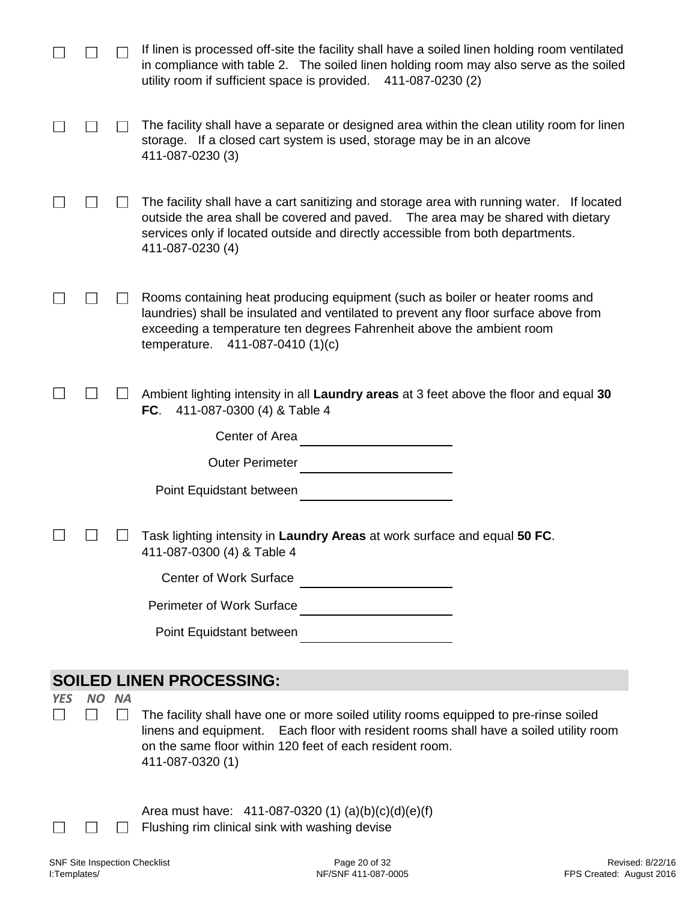|            |                 | If linen is processed off-site the facility shall have a soiled linen holding room ventilated<br>in compliance with table 2. The soiled linen holding room may also serve as the soiled<br>utility room if sufficient space is provided.<br>411-087-0230 (2)                          |
|------------|-----------------|---------------------------------------------------------------------------------------------------------------------------------------------------------------------------------------------------------------------------------------------------------------------------------------|
|            |                 | The facility shall have a separate or designed area within the clean utility room for linen<br>storage. If a closed cart system is used, storage may be in an alcove<br>411-087-0230 (3)                                                                                              |
|            |                 | The facility shall have a cart sanitizing and storage area with running water. If located<br>outside the area shall be covered and paved.  The area may be shared with dietary<br>services only if located outside and directly accessible from both departments.<br>411-087-0230 (4) |
|            |                 | Rooms containing heat producing equipment (such as boiler or heater rooms and<br>laundries) shall be insulated and ventilated to prevent any floor surface above from<br>exceeding a temperature ten degrees Fahrenheit above the ambient room<br>temperature.<br>411-087-0410 (1)(c) |
|            |                 | Ambient lighting intensity in all Laundry areas at 3 feet above the floor and equal 30<br>FC.<br>411-087-0300 (4) & Table 4                                                                                                                                                           |
|            |                 | Center of Area                                                                                                                                                                                                                                                                        |
|            |                 | <b>Outer Perimeter</b>                                                                                                                                                                                                                                                                |
|            |                 | Point Equidstant between                                                                                                                                                                                                                                                              |
|            |                 | Task lighting intensity in Laundry Areas at work surface and equal 50 FC.<br>411-087-0300 (4) & Table 4                                                                                                                                                                               |
|            |                 | <b>Center of Work Surface</b>                                                                                                                                                                                                                                                         |
|            |                 | <b>Perimeter of Work Surface</b>                                                                                                                                                                                                                                                      |
|            |                 | Point Equidstant between                                                                                                                                                                                                                                                              |
|            |                 | <b>SOILED LINEN PROCESSING:</b>                                                                                                                                                                                                                                                       |
| <b>YES</b> | NO NA<br>$\sim$ | The facility shall have one or more soiled utility rooms equipped to pre-rinse soiled<br>linens and equipment.<br>Each floor with resident rooms shall have a soiled utility room<br>on the same floor within 120 feet of each resident room.<br>411-087-0320 (1)                     |
|            |                 | Area must have: $411-087-0320(1)(a)(b)(c)(d)(e)(f)$<br>Flushing rim clinical sink with washing devise                                                                                                                                                                                 |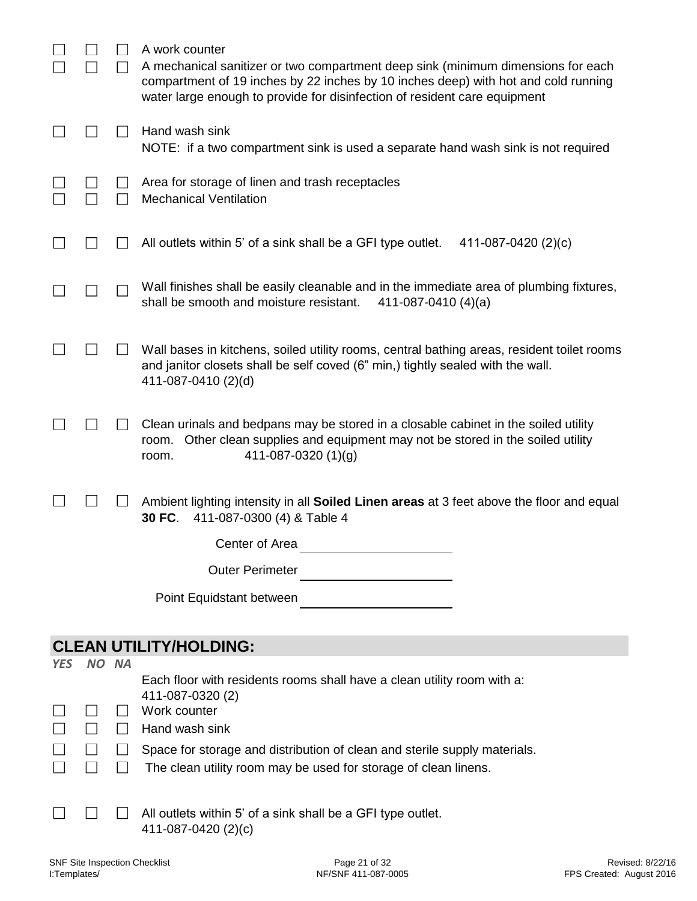|            |       |        | A work counter<br>A mechanical sanitizer or two compartment deep sink (minimum dimensions for each<br>compartment of 19 inches by 22 inches by 10 inches deep) with hot and cold running<br>water large enough to provide for disinfection of resident care equipment |
|------------|-------|--------|-----------------------------------------------------------------------------------------------------------------------------------------------------------------------------------------------------------------------------------------------------------------------|
|            |       |        | Hand wash sink<br>NOTE: if a two compartment sink is used a separate hand wash sink is not required                                                                                                                                                                   |
|            |       |        | Area for storage of linen and trash receptacles<br><b>Mechanical Ventilation</b>                                                                                                                                                                                      |
|            |       |        | All outlets within 5' of a sink shall be a GFI type outlet.<br>411-087-0420 (2)(c)                                                                                                                                                                                    |
|            |       |        | Wall finishes shall be easily cleanable and in the immediate area of plumbing fixtures,<br>shall be smooth and moisture resistant.<br>411-087-0410 $(4)(a)$                                                                                                           |
|            |       |        | Wall bases in kitchens, soiled utility rooms, central bathing areas, resident toilet rooms<br>and janitor closets shall be self coved (6" min,) tightly sealed with the wall.<br>411-087-0410 (2)(d)                                                                  |
|            |       |        | Clean urinals and bedpans may be stored in a closable cabinet in the soiled utility<br>Other clean supplies and equipment may not be stored in the soiled utility<br>room.<br>411-087-0320 $(1)(g)$<br>room.                                                          |
|            |       |        | Ambient lighting intensity in all Soiled Linen areas at 3 feet above the floor and equal<br>411-087-0300 (4) & Table 4<br>30 FC.                                                                                                                                      |
|            |       |        | Center of Area                                                                                                                                                                                                                                                        |
|            |       |        | <b>Outer Perimeter</b>                                                                                                                                                                                                                                                |
|            |       |        | Point Equidstant between                                                                                                                                                                                                                                              |
|            |       |        | <b>CLEAN UTILITY/HOLDING:</b>                                                                                                                                                                                                                                         |
| <b>YES</b> | NO NA |        |                                                                                                                                                                                                                                                                       |
|            |       |        | Each floor with residents rooms shall have a clean utility room with a:<br>411-087-0320 (2)<br>Work counter                                                                                                                                                           |
|            |       | $\Box$ | Hand wash sink                                                                                                                                                                                                                                                        |
|            |       |        | Space for storage and distribution of clean and sterile supply materials.<br>The clean utility room may be used for storage of clean linens.                                                                                                                          |

All outlets within 5' of a sink shall be a GFI type outlet.  $\Box$ 411-087-0420 (2)(c)

 $\Box$ 

 $\Box$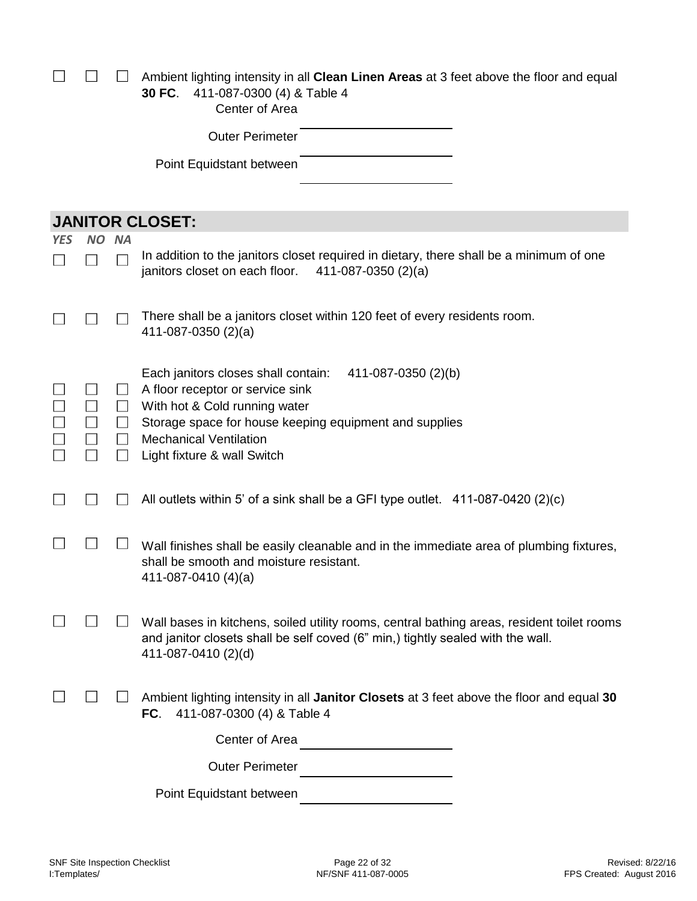|            |           |                             | Ambient lighting intensity in all Clean Linen Areas at 3 feet above the floor and equal<br>411-087-0300 (4) & Table 4<br>30 FC.<br>Center of Area                                                                                                         |
|------------|-----------|-----------------------------|-----------------------------------------------------------------------------------------------------------------------------------------------------------------------------------------------------------------------------------------------------------|
|            |           |                             | <b>Outer Perimeter</b>                                                                                                                                                                                                                                    |
|            |           |                             | Point Equidstant between                                                                                                                                                                                                                                  |
|            |           |                             |                                                                                                                                                                                                                                                           |
|            |           |                             | <b>JANITOR CLOSET:</b>                                                                                                                                                                                                                                    |
| <b>YES</b> | <b>NO</b> | <b>NA</b>                   |                                                                                                                                                                                                                                                           |
|            |           |                             | In addition to the janitors closet required in dietary, there shall be a minimum of one<br>janitors closet on each floor.<br>411-087-0350 $(2)(a)$                                                                                                        |
|            |           |                             | There shall be a janitors closet within 120 feet of every residents room.<br>411-087-0350 $(2)(a)$                                                                                                                                                        |
|            |           | $\Box$<br>$\Box$<br>$\perp$ | Each janitors closes shall contain:<br>411-087-0350 (2)(b)<br>A floor receptor or service sink<br>With hot & Cold running water<br>Storage space for house keeping equipment and supplies<br><b>Mechanical Ventilation</b><br>Light fixture & wall Switch |
|            |           |                             | All outlets within 5' of a sink shall be a GFI type outlet. 411-087-0420 (2)(c)                                                                                                                                                                           |
|            |           |                             | Wall finishes shall be easily cleanable and in the immediate area of plumbing fixtures,<br>shall be smooth and moisture resistant.<br>411-087-0410 (4)(a)                                                                                                 |
|            |           |                             | Wall bases in kitchens, soiled utility rooms, central bathing areas, resident toilet rooms<br>and janitor closets shall be self coved (6" min,) tightly sealed with the wall.<br>411-087-0410 (2)(d)                                                      |
|            |           |                             | Ambient lighting intensity in all Janitor Closets at 3 feet above the floor and equal 30<br>411-087-0300 (4) & Table 4<br>FC.                                                                                                                             |
|            |           |                             | Center of Area                                                                                                                                                                                                                                            |
|            |           |                             | <b>Outer Perimeter</b>                                                                                                                                                                                                                                    |
|            |           |                             | Point Equidstant between                                                                                                                                                                                                                                  |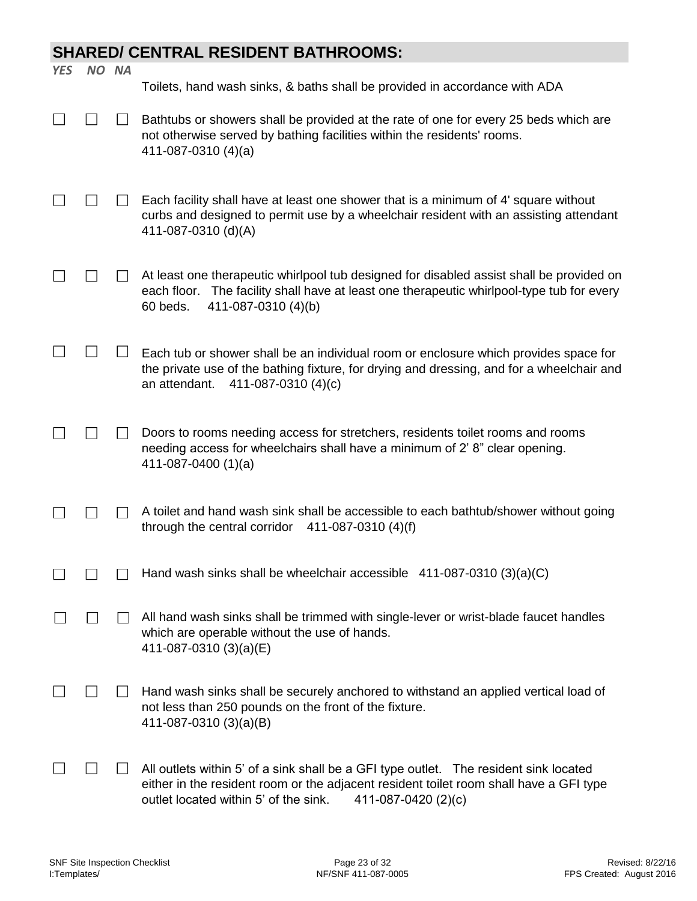## **SHARED/ CENTRAL RESIDENT BATHROOMS:**

| <b>YES</b> | NO NA |                                                                                                                                                                                                                                                 |
|------------|-------|-------------------------------------------------------------------------------------------------------------------------------------------------------------------------------------------------------------------------------------------------|
|            |       | Toilets, hand wash sinks, & baths shall be provided in accordance with ADA                                                                                                                                                                      |
|            |       | Bathtubs or showers shall be provided at the rate of one for every 25 beds which are<br>not otherwise served by bathing facilities within the residents' rooms.<br>411-087-0310 (4)(a)                                                          |
|            |       | Each facility shall have at least one shower that is a minimum of 4' square without<br>curbs and designed to permit use by a wheelchair resident with an assisting attendant<br>411-087-0310 (d)(A)                                             |
|            |       | At least one therapeutic whirlpool tub designed for disabled assist shall be provided on<br>The facility shall have at least one therapeutic whirlpool-type tub for every<br>each floor.<br>411-087-0310 (4)(b)<br>60 beds.                     |
|            |       | Each tub or shower shall be an individual room or enclosure which provides space for<br>the private use of the bathing fixture, for drying and dressing, and for a wheelchair and<br>411-087-0310 (4)(c)<br>an attendant.                       |
|            |       | Doors to rooms needing access for stretchers, residents toilet rooms and rooms<br>needing access for wheelchairs shall have a minimum of 2' 8" clear opening.<br>411-087-0400 $(1)(a)$                                                          |
|            |       | A toilet and hand wash sink shall be accessible to each bathtub/shower without going<br>through the central corridor $411-087-0310(4)(f)$                                                                                                       |
|            |       | Hand wash sinks shall be wheelchair accessible 411-087-0310 (3)(a)(C)                                                                                                                                                                           |
|            |       | All hand wash sinks shall be trimmed with single-lever or wrist-blade faucet handles<br>which are operable without the use of hands.<br>411-087-0310 (3)(a)(E)                                                                                  |
|            |       | Hand wash sinks shall be securely anchored to withstand an applied vertical load of<br>not less than 250 pounds on the front of the fixture.<br>411-087-0310 (3)(a)(B)                                                                          |
|            |       | All outlets within 5' of a sink shall be a GFI type outlet. The resident sink located<br>either in the resident room or the adjacent resident toilet room shall have a GFI type<br>outlet located within 5' of the sink.<br>411-087-0420 (2)(c) |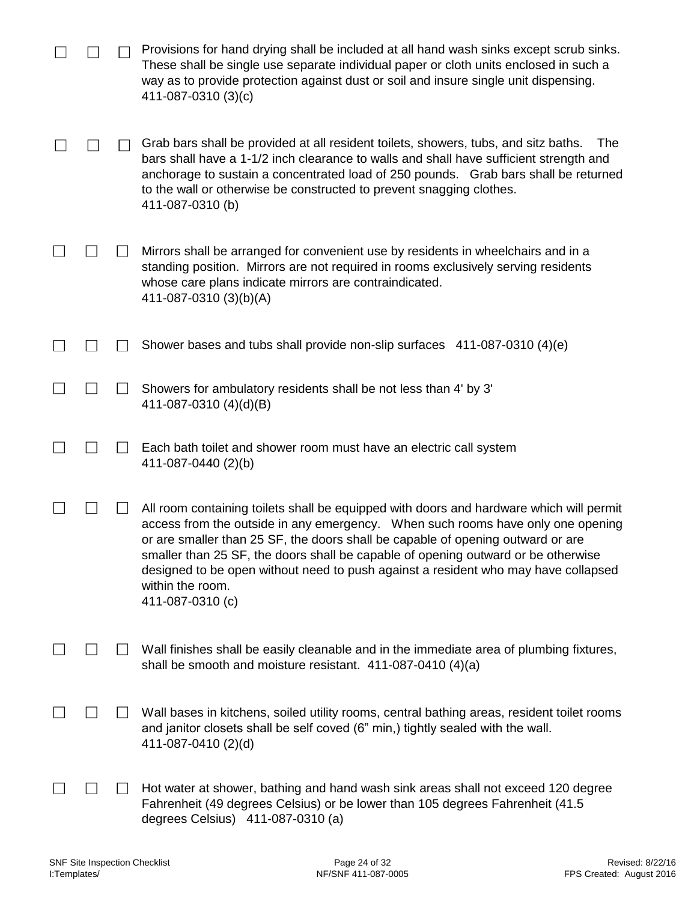|              | Provisions for hand drying shall be included at all hand wash sinks except scrub sinks.<br>These shall be single use separate individual paper or cloth units enclosed in such a<br>way as to provide protection against dust or soil and insure single unit dispensing.<br>411-087-0310 (3)(c)                                                                                                                                                                                  |
|--------------|----------------------------------------------------------------------------------------------------------------------------------------------------------------------------------------------------------------------------------------------------------------------------------------------------------------------------------------------------------------------------------------------------------------------------------------------------------------------------------|
|              | Grab bars shall be provided at all resident toilets, showers, tubs, and sitz baths.<br>The<br>bars shall have a 1-1/2 inch clearance to walls and shall have sufficient strength and<br>anchorage to sustain a concentrated load of 250 pounds. Grab bars shall be returned<br>to the wall or otherwise be constructed to prevent snagging clothes.<br>411-087-0310 (b)                                                                                                          |
|              | Mirrors shall be arranged for convenient use by residents in wheelchairs and in a<br>standing position. Mirrors are not required in rooms exclusively serving residents<br>whose care plans indicate mirrors are contraindicated.<br>411-087-0310 (3)(b)(A)                                                                                                                                                                                                                      |
|              | Shower bases and tubs shall provide non-slip surfaces 411-087-0310 (4)(e)                                                                                                                                                                                                                                                                                                                                                                                                        |
| $\mathsf{L}$ | Showers for ambulatory residents shall be not less than 4' by 3'<br>411-087-0310 (4)(d)(B)                                                                                                                                                                                                                                                                                                                                                                                       |
|              | Each bath toilet and shower room must have an electric call system<br>411-087-0440 (2)(b)                                                                                                                                                                                                                                                                                                                                                                                        |
|              | All room containing toilets shall be equipped with doors and hardware which will permit<br>access from the outside in any emergency. When such rooms have only one opening<br>or are smaller than 25 SF, the doors shall be capable of opening outward or are<br>smaller than 25 SF, the doors shall be capable of opening outward or be otherwise<br>designed to be open without need to push against a resident who may have collapsed<br>within the room.<br>411-087-0310 (c) |
|              | Wall finishes shall be easily cleanable and in the immediate area of plumbing fixtures,<br>shall be smooth and moisture resistant. 411-087-0410 (4)(a)                                                                                                                                                                                                                                                                                                                           |
|              | Wall bases in kitchens, soiled utility rooms, central bathing areas, resident toilet rooms<br>and janitor closets shall be self coved (6" min,) tightly sealed with the wall.<br>411-087-0410 (2)(d)                                                                                                                                                                                                                                                                             |
|              | Hot water at shower, bathing and hand wash sink areas shall not exceed 120 degree<br>Fahrenheit (49 degrees Celsius) or be lower than 105 degrees Fahrenheit (41.5<br>degrees Celsius) 411-087-0310 (a)                                                                                                                                                                                                                                                                          |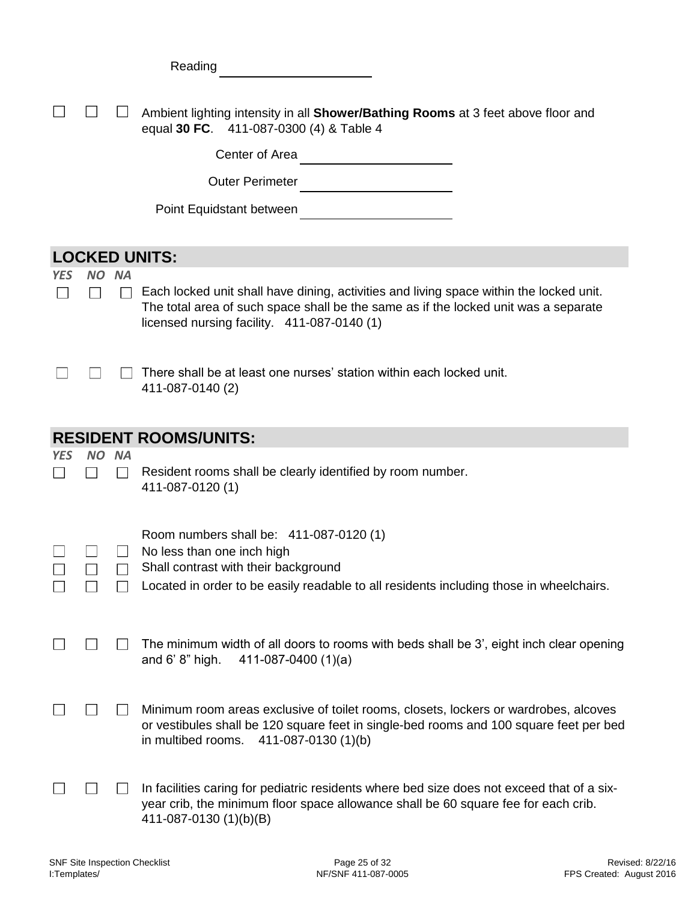|            |      |           | Reading                                                                                                                                                                                                                       |
|------------|------|-----------|-------------------------------------------------------------------------------------------------------------------------------------------------------------------------------------------------------------------------------|
|            |      |           | Ambient lighting intensity in all <b>Shower/Bathing Rooms</b> at 3 feet above floor and<br>equal 30 FC. 411-087-0300 (4) & Table 4<br>Center of Area<br><b>Outer Perimeter</b>                                                |
|            |      |           | Point Equidstant between                                                                                                                                                                                                      |
|            |      |           | <b>LOCKED UNITS:</b>                                                                                                                                                                                                          |
| YES        | NO.  | <b>NA</b> | Each locked unit shall have dining, activities and living space within the locked unit.<br>The total area of such space shall be the same as if the locked unit was a separate<br>licensed nursing facility. 411-087-0140 (1) |
|            |      |           | There shall be at least one nurses' station within each locked unit.<br>411-087-0140 (2)                                                                                                                                      |
|            |      |           | <b>RESIDENT ROOMS/UNITS:</b>                                                                                                                                                                                                  |
| <b>YES</b> | NO I | <b>NA</b> | Resident rooms shall be clearly identified by room number.<br>411-087-0120 (1)                                                                                                                                                |
|            |      |           | Room numbers shall be: 411-087-0120 (1)<br>No less than one inch high<br>Shall contrast with their background<br>Located in order to be easily readable to all residents including those in wheelchairs.                      |
|            |      |           | The minimum width of all doors to rooms with beds shall be 3', eight inch clear opening<br>and $6' 8"$ high.<br>411-087-0400 $(1)(a)$                                                                                         |
|            |      |           | Minimum room areas exclusive of toilet rooms, closets, lockers or wardrobes, alcoves<br>or vestibules shall be 120 square feet in single-bed rooms and 100 square feet per bed<br>in multibed rooms.<br>411-087-0130 (1)(b)   |
|            |      |           | In facilities caring for pediatric residents where bed size does not exceed that of a six-<br>year crib, the minimum floor space allowance shall be 60 square fee for each crib.<br>411-087-0130 (1)(b)(B)                    |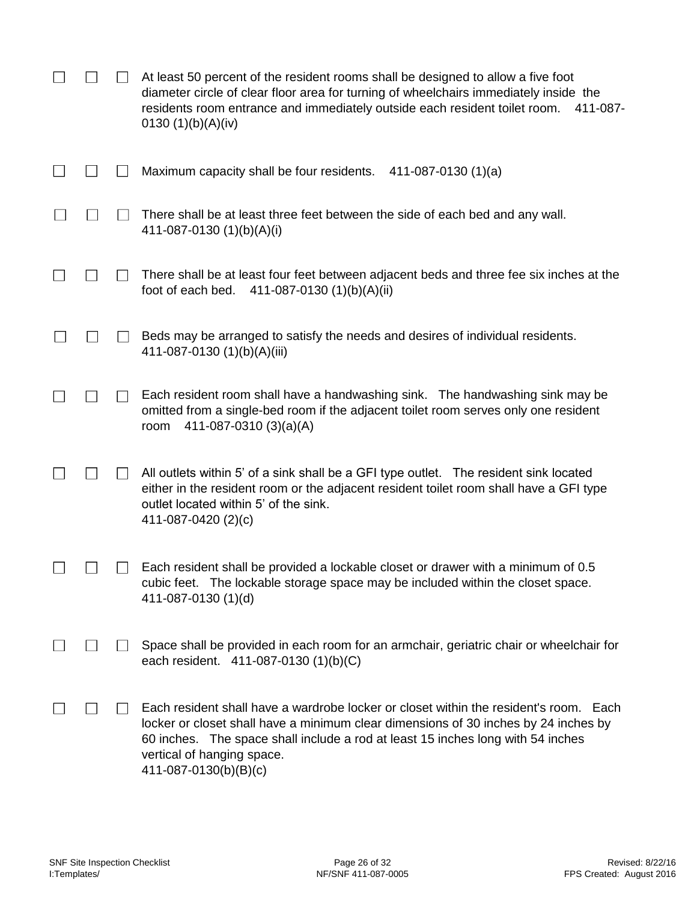|  | At least 50 percent of the resident rooms shall be designed to allow a five foot<br>diameter circle of clear floor area for turning of wheelchairs immediately inside the<br>residents room entrance and immediately outside each resident toilet room.<br>411-087-<br>0130 $(1)(b)(A)(iv)$                            |
|--|------------------------------------------------------------------------------------------------------------------------------------------------------------------------------------------------------------------------------------------------------------------------------------------------------------------------|
|  | Maximum capacity shall be four residents.<br>411-087-0130 $(1)(a)$                                                                                                                                                                                                                                                     |
|  | There shall be at least three feet between the side of each bed and any wall.<br>411-087-0130 (1)(b)(A)(i)                                                                                                                                                                                                             |
|  | There shall be at least four feet between adjacent beds and three fee six inches at the<br>411-087-0130 (1)(b)(A)(ii)<br>foot of each bed.                                                                                                                                                                             |
|  | Beds may be arranged to satisfy the needs and desires of individual residents.<br>411-087-0130 (1)(b)(A)(iii)                                                                                                                                                                                                          |
|  | Each resident room shall have a handwashing sink. The handwashing sink may be<br>omitted from a single-bed room if the adjacent toilet room serves only one resident<br>411-087-0310 (3)(a)(A)<br>room                                                                                                                 |
|  | All outlets within 5' of a sink shall be a GFI type outlet. The resident sink located<br>either in the resident room or the adjacent resident toilet room shall have a GFI type<br>outlet located within 5' of the sink.<br>411-087-0420 (2)(c)                                                                        |
|  | Each resident shall be provided a lockable closet or drawer with a minimum of 0.5<br>cubic feet. The lockable storage space may be included within the closet space.<br>411-087-0130 (1)(d)                                                                                                                            |
|  | Space shall be provided in each room for an armchair, geriatric chair or wheelchair for<br>each resident. 411-087-0130 (1)(b)(C)                                                                                                                                                                                       |
|  | Each resident shall have a wardrobe locker or closet within the resident's room. Each<br>locker or closet shall have a minimum clear dimensions of 30 inches by 24 inches by<br>60 inches. The space shall include a rod at least 15 inches long with 54 inches<br>vertical of hanging space.<br>411-087-0130(b)(B)(c) |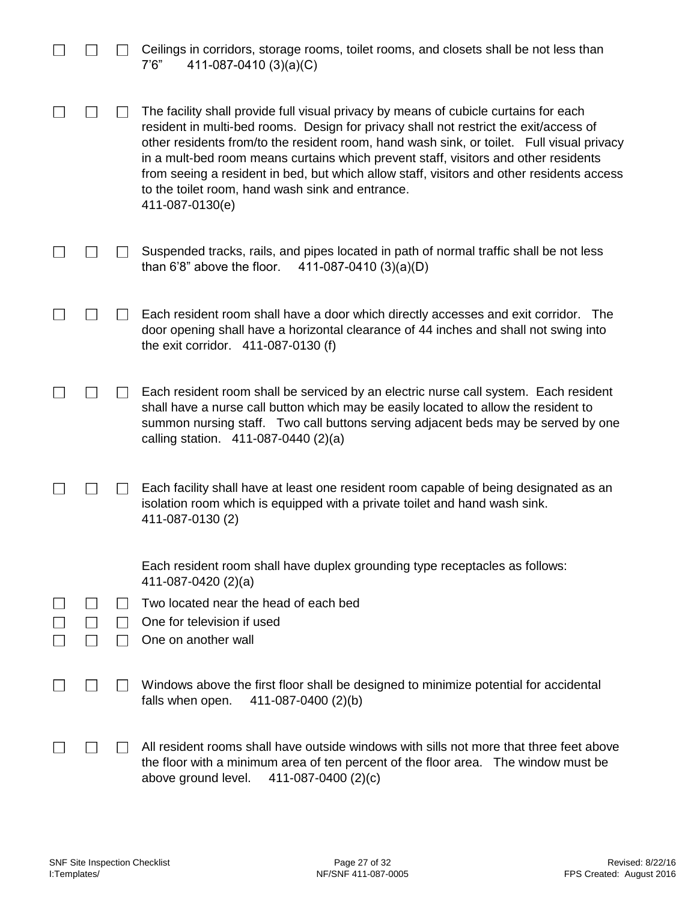|  | Ceilings in corridors, storage rooms, toilet rooms, and closets shall be not less than<br>411-087-0410 (3)(a)(C)<br>7'6''                                                                                                                                                                                                                                                                                                                                                                                                             |
|--|---------------------------------------------------------------------------------------------------------------------------------------------------------------------------------------------------------------------------------------------------------------------------------------------------------------------------------------------------------------------------------------------------------------------------------------------------------------------------------------------------------------------------------------|
|  | The facility shall provide full visual privacy by means of cubicle curtains for each<br>resident in multi-bed rooms. Design for privacy shall not restrict the exit/access of<br>other residents from/to the resident room, hand wash sink, or toilet. Full visual privacy<br>in a mult-bed room means curtains which prevent staff, visitors and other residents<br>from seeing a resident in bed, but which allow staff, visitors and other residents access<br>to the toilet room, hand wash sink and entrance.<br>411-087-0130(e) |
|  | Suspended tracks, rails, and pipes located in path of normal traffic shall be not less<br>than 6'8" above the floor.<br>411-087-0410 (3)(a)(D)                                                                                                                                                                                                                                                                                                                                                                                        |
|  | Each resident room shall have a door which directly accesses and exit corridor.<br>The<br>door opening shall have a horizontal clearance of 44 inches and shall not swing into<br>the exit corridor. 411-087-0130 (f)                                                                                                                                                                                                                                                                                                                 |
|  | Each resident room shall be serviced by an electric nurse call system. Each resident<br>shall have a nurse call button which may be easily located to allow the resident to<br>summon nursing staff. Two call buttons serving adjacent beds may be served by one<br>calling station. 411-087-0440 (2)(a)                                                                                                                                                                                                                              |
|  | Each facility shall have at least one resident room capable of being designated as an<br>isolation room which is equipped with a private toilet and hand wash sink.<br>411-087-0130 (2)                                                                                                                                                                                                                                                                                                                                               |
|  | Each resident room shall have duplex grounding type receptacles as follows:<br>411-087-0420 (2)(a)                                                                                                                                                                                                                                                                                                                                                                                                                                    |
|  | Two located near the head of each bed<br>One for television if used<br>One on another wall                                                                                                                                                                                                                                                                                                                                                                                                                                            |
|  | Windows above the first floor shall be designed to minimize potential for accidental<br>falls when open.<br>411-087-0400 (2)(b)                                                                                                                                                                                                                                                                                                                                                                                                       |
|  | All resident rooms shall have outside windows with sills not more that three feet above<br>the floor with a minimum area of ten percent of the floor area. The window must be<br>above ground level.<br>411-087-0400 (2)(c)                                                                                                                                                                                                                                                                                                           |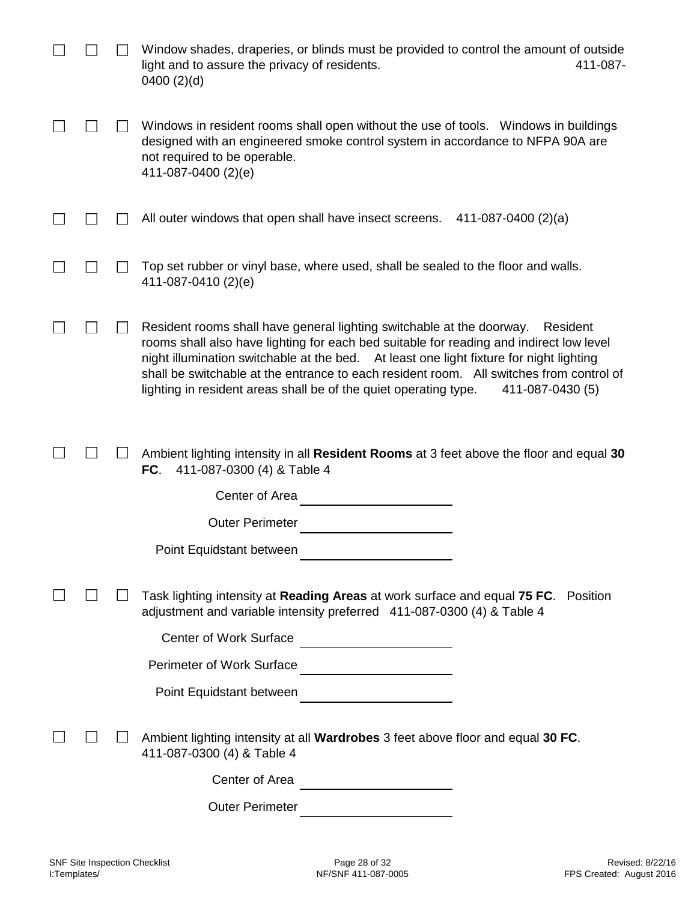|  | Window shades, draperies, or blinds must be provided to control the amount of outside<br>light and to assure the privacy of residents.<br>411-087-<br>0400(2)(d)                                                                                                                                                                                                                                                                                           |
|--|------------------------------------------------------------------------------------------------------------------------------------------------------------------------------------------------------------------------------------------------------------------------------------------------------------------------------------------------------------------------------------------------------------------------------------------------------------|
|  | Windows in resident rooms shall open without the use of tools. Windows in buildings<br>designed with an engineered smoke control system in accordance to NFPA 90A are<br>not required to be operable.<br>411-087-0400 (2)(e)                                                                                                                                                                                                                               |
|  | All outer windows that open shall have insect screens.<br>411-087-0400 $(2)(a)$                                                                                                                                                                                                                                                                                                                                                                            |
|  | Top set rubber or vinyl base, where used, shall be sealed to the floor and walls.<br>411-087-0410 (2)(e)                                                                                                                                                                                                                                                                                                                                                   |
|  | Resident rooms shall have general lighting switchable at the doorway.<br>Resident<br>rooms shall also have lighting for each bed suitable for reading and indirect low level<br>night illumination switchable at the bed. At least one light fixture for night lighting<br>shall be switchable at the entrance to each resident room. All switches from control of<br>lighting in resident areas shall be of the quiet operating type.<br>411-087-0430 (5) |
|  | Ambient lighting intensity in all Resident Rooms at 3 feet above the floor and equal 30<br>FC.<br>411-087-0300 (4) & Table 4                                                                                                                                                                                                                                                                                                                               |
|  | Center of Area                                                                                                                                                                                                                                                                                                                                                                                                                                             |
|  | <b>Outer Perimeter</b>                                                                                                                                                                                                                                                                                                                                                                                                                                     |
|  | Point Equidstant between                                                                                                                                                                                                                                                                                                                                                                                                                                   |
|  | Task lighting intensity at Reading Areas at work surface and equal 75 FC. Position<br>adjustment and variable intensity preferred 411-087-0300 (4) & Table 4                                                                                                                                                                                                                                                                                               |
|  | Center of Work Surface                                                                                                                                                                                                                                                                                                                                                                                                                                     |
|  | Perimeter of Work Surface<br><u> </u>                                                                                                                                                                                                                                                                                                                                                                                                                      |
|  | Point Equidstant between<br><br><u> </u>                                                                                                                                                                                                                                                                                                                                                                                                                   |
|  | Ambient lighting intensity at all Wardrobes 3 feet above floor and equal 30 FC.<br>411-087-0300 (4) & Table 4                                                                                                                                                                                                                                                                                                                                              |
|  | Center of Area                                                                                                                                                                                                                                                                                                                                                                                                                                             |
|  | <b>Outer Perimeter</b><br><u> 1990 - Jan James James Jan James James James James James James James James James James James James James James</u>                                                                                                                                                                                                                                                                                                           |
|  |                                                                                                                                                                                                                                                                                                                                                                                                                                                            |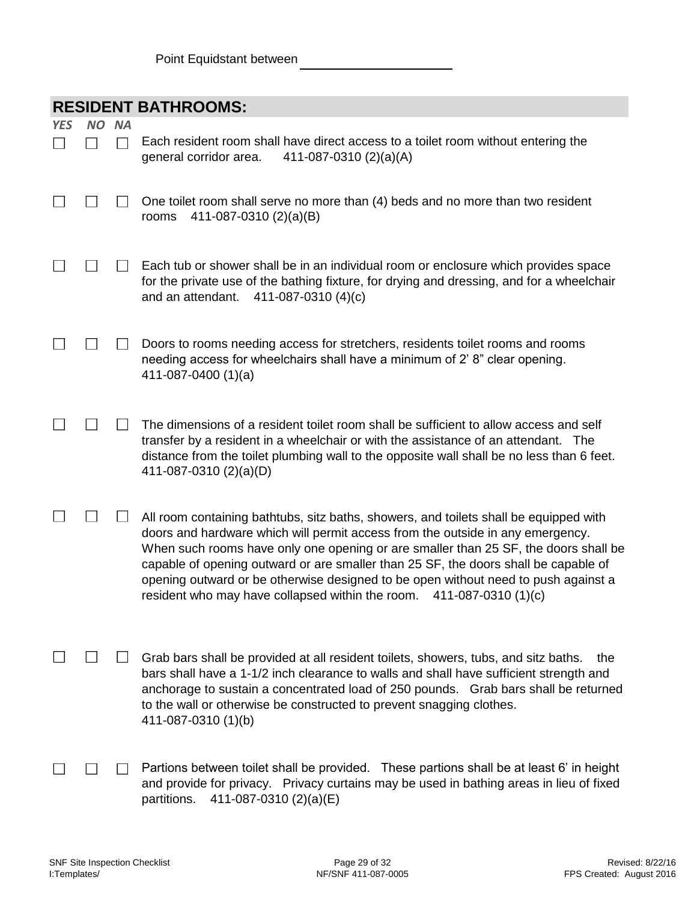|                | <b>RESIDENT BATHROOMS:</b> |               |                                                                                                                                                                                                                                                                                                                                                                                                                                                                                                                        |  |  |  |
|----------------|----------------------------|---------------|------------------------------------------------------------------------------------------------------------------------------------------------------------------------------------------------------------------------------------------------------------------------------------------------------------------------------------------------------------------------------------------------------------------------------------------------------------------------------------------------------------------------|--|--|--|
| <b>YES</b>     | NO.                        | <b>NA</b>     |                                                                                                                                                                                                                                                                                                                                                                                                                                                                                                                        |  |  |  |
| $\blacksquare$ |                            | $\mathcal{L}$ | Each resident room shall have direct access to a toilet room without entering the<br>general corridor area.<br>411-087-0310 (2)(a)(A)                                                                                                                                                                                                                                                                                                                                                                                  |  |  |  |
|                |                            |               | One toilet room shall serve no more than (4) beds and no more than two resident<br>411-087-0310 (2)(a)(B)<br>rooms                                                                                                                                                                                                                                                                                                                                                                                                     |  |  |  |
|                |                            |               | Each tub or shower shall be in an individual room or enclosure which provides space<br>for the private use of the bathing fixture, for drying and dressing, and for a wheelchair<br>411-087-0310 (4)(c)<br>and an attendant.                                                                                                                                                                                                                                                                                           |  |  |  |
|                |                            |               | Doors to rooms needing access for stretchers, residents toilet rooms and rooms<br>needing access for wheelchairs shall have a minimum of 2'8" clear opening.<br>411-087-0400 (1)(a)                                                                                                                                                                                                                                                                                                                                    |  |  |  |
|                |                            |               | The dimensions of a resident toilet room shall be sufficient to allow access and self<br>transfer by a resident in a wheelchair or with the assistance of an attendant. The<br>distance from the toilet plumbing wall to the opposite wall shall be no less than 6 feet.<br>411-087-0310 (2)(a)(D)                                                                                                                                                                                                                     |  |  |  |
|                |                            |               | All room containing bathtubs, sitz baths, showers, and toilets shall be equipped with<br>doors and hardware which will permit access from the outside in any emergency.<br>When such rooms have only one opening or are smaller than 25 SF, the doors shall be<br>capable of opening outward or are smaller than 25 SF, the doors shall be capable of<br>opening outward or be otherwise designed to be open without need to push against a<br>resident who may have collapsed within the room.<br>411-087-0310 (1)(c) |  |  |  |
|                |                            |               | Grab bars shall be provided at all resident toilets, showers, tubs, and sitz baths.<br>the<br>bars shall have a 1-1/2 inch clearance to walls and shall have sufficient strength and<br>anchorage to sustain a concentrated load of 250 pounds. Grab bars shall be returned<br>to the wall or otherwise be constructed to prevent snagging clothes.<br>411-087-0310 (1)(b)                                                                                                                                             |  |  |  |
|                |                            |               | Partions between toilet shall be provided. These partions shall be at least 6' in height<br>and provide for privacy. Privacy curtains may be used in bathing areas in lieu of fixed<br>partitions.<br>411-087-0310 (2)(a)(E)                                                                                                                                                                                                                                                                                           |  |  |  |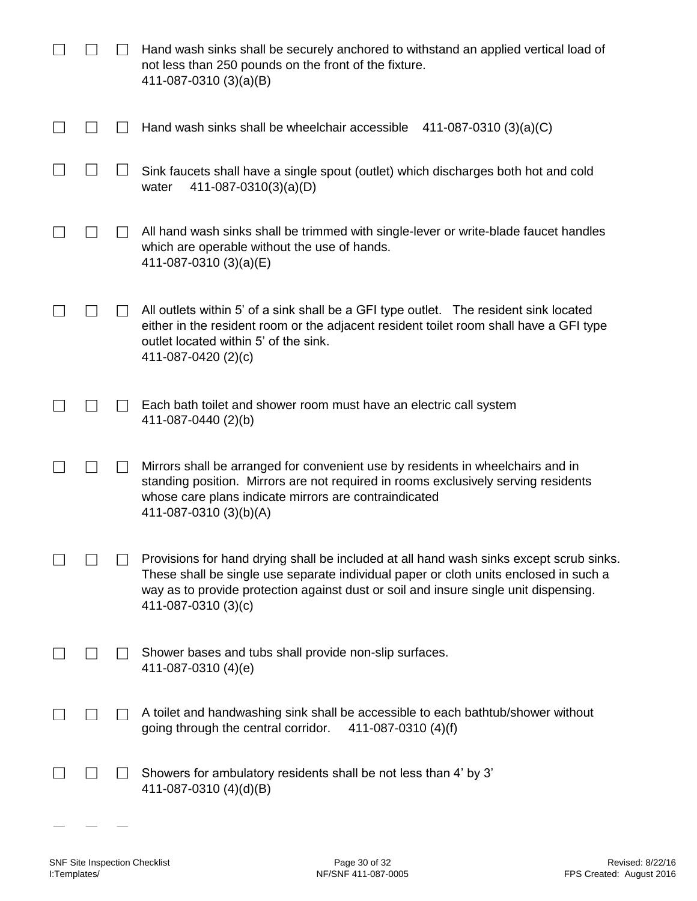|  | Hand wash sinks shall be securely anchored to withstand an applied vertical load of<br>not less than 250 pounds on the front of the fixture.<br>411-087-0310 (3)(a)(B)                                                                                                                          |
|--|-------------------------------------------------------------------------------------------------------------------------------------------------------------------------------------------------------------------------------------------------------------------------------------------------|
|  | Hand wash sinks shall be wheelchair accessible<br>411-087-0310 $(3)(a)(C)$                                                                                                                                                                                                                      |
|  | Sink faucets shall have a single spout (outlet) which discharges both hot and cold<br>$411-087-0310(3)(a)(D)$<br>water                                                                                                                                                                          |
|  | All hand wash sinks shall be trimmed with single-lever or write-blade faucet handles<br>which are operable without the use of hands.<br>411-087-0310 (3)(a)(E)                                                                                                                                  |
|  | All outlets within 5' of a sink shall be a GFI type outlet. The resident sink located<br>either in the resident room or the adjacent resident toilet room shall have a GFI type<br>outlet located within 5' of the sink.<br>411-087-0420 (2)(c)                                                 |
|  | Each bath toilet and shower room must have an electric call system<br>411-087-0440 (2)(b)                                                                                                                                                                                                       |
|  | Mirrors shall be arranged for convenient use by residents in wheelchairs and in<br>standing position. Mirrors are not required in rooms exclusively serving residents<br>whose care plans indicate mirrors are contraindicated<br>411-087-0310 (3)(b)(A)                                        |
|  | Provisions for hand drying shall be included at all hand wash sinks except scrub sinks.<br>These shall be single use separate individual paper or cloth units enclosed in such a<br>way as to provide protection against dust or soil and insure single unit dispensing.<br>411-087-0310 (3)(c) |
|  | Shower bases and tubs shall provide non-slip surfaces.<br>411-087-0310 (4)(e)                                                                                                                                                                                                                   |
|  | A toilet and handwashing sink shall be accessible to each bathtub/shower without<br>going through the central corridor.<br>411-087-0310 (4)(f)                                                                                                                                                  |
|  | Showers for ambulatory residents shall be not less than 4' by 3'<br>411-087-0310 (4)(d)(B)                                                                                                                                                                                                      |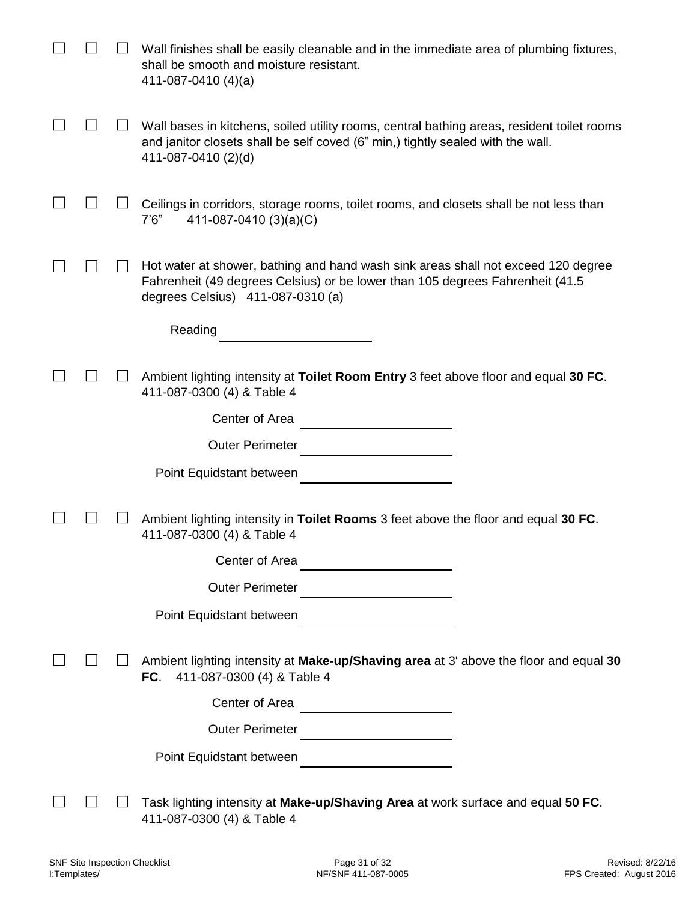|  | Wall finishes shall be easily cleanable and in the immediate area of plumbing fixtures,<br>shall be smooth and moisture resistant.<br>411-087-0410 $(4)(a)$                                             |
|--|---------------------------------------------------------------------------------------------------------------------------------------------------------------------------------------------------------|
|  | Wall bases in kitchens, soiled utility rooms, central bathing areas, resident toilet rooms<br>and janitor closets shall be self coved (6" min,) tightly sealed with the wall.<br>411-087-0410 (2)(d)    |
|  | Ceilings in corridors, storage rooms, toilet rooms, and closets shall be not less than<br>7'6''<br>411-087-0410 (3)(a)(C)                                                                               |
|  | Hot water at shower, bathing and hand wash sink areas shall not exceed 120 degree<br>Fahrenheit (49 degrees Celsius) or be lower than 105 degrees Fahrenheit (41.5<br>degrees Celsius) 411-087-0310 (a) |
|  | Reading                                                                                                                                                                                                 |
|  |                                                                                                                                                                                                         |
|  | Ambient lighting intensity at Toilet Room Entry 3 feet above floor and equal 30 FC.<br>411-087-0300 (4) & Table 4                                                                                       |
|  | Center of Area                                                                                                                                                                                          |
|  | <b>Outer Perimeter</b>                                                                                                                                                                                  |
|  | Point Equidstant between                                                                                                                                                                                |
|  |                                                                                                                                                                                                         |
|  | Ambient lighting intensity in Toilet Rooms 3 feet above the floor and equal 30 FC.<br>411-087-0300 (4) & Table 4                                                                                        |
|  | Center of Area                                                                                                                                                                                          |
|  | Outer Perimeter                                                                                                                                                                                         |
|  | Point Equidstant between                                                                                                                                                                                |
|  | $\mathcal{L}^{\mathcal{L}}(\mathcal{L}^{\mathcal{L}})$ and $\mathcal{L}^{\mathcal{L}}(\mathcal{L}^{\mathcal{L}})$ . The contract of the set of $\mathcal{L}^{\mathcal{L}}$                              |
|  | Ambient lighting intensity at Make-up/Shaving area at 3' above the floor and equal 30<br>FC. $411-087-0300$ (4) & Table 4                                                                               |
|  | Center of Area                                                                                                                                                                                          |
|  | <b>Outer Perimeter</b>                                                                                                                                                                                  |
|  | Point Equidstant between                                                                                                                                                                                |
|  | <u> Alexandria de la conte</u>                                                                                                                                                                          |
|  | Task lighting intensity at Make-up/Shaving Area at work surface and equal 50 FC.<br>411-087-0300 (4) & Table 4                                                                                          |